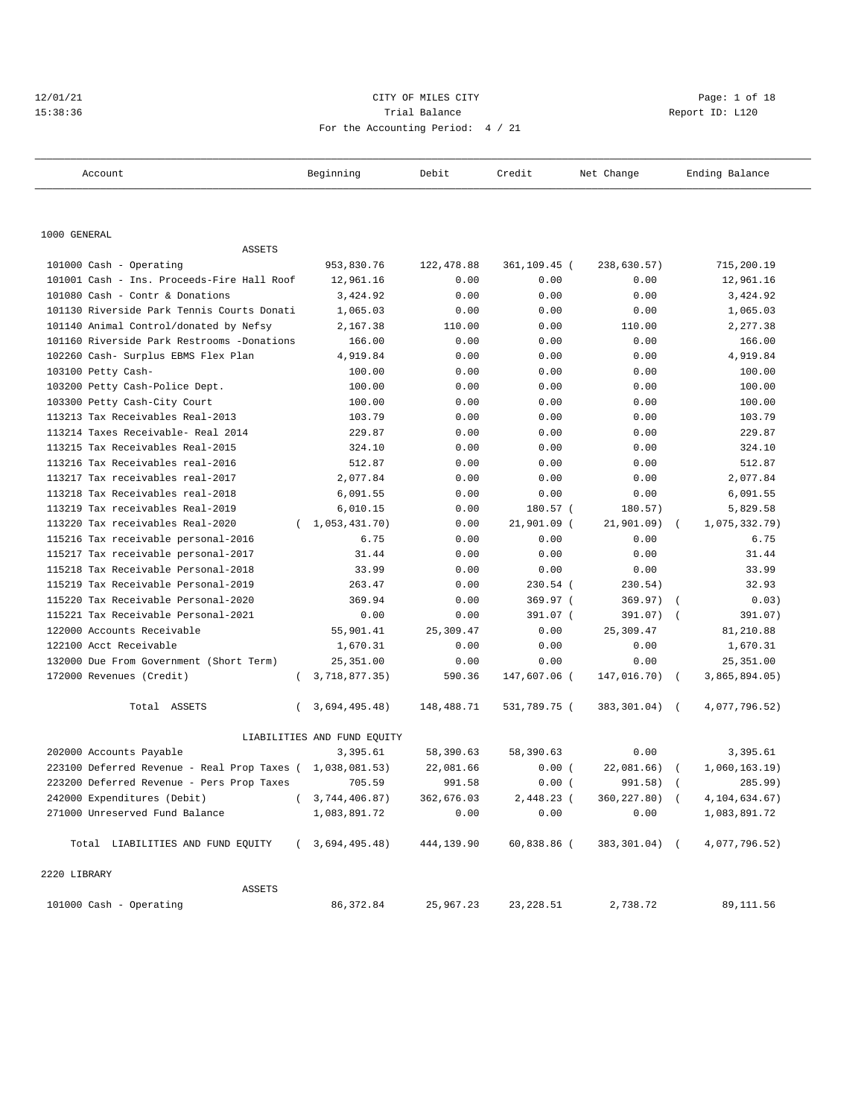## 12/01/21 CITY OF MILES CITY Page: 1 of 18 15:38:36 Trial Balance Report ID: L120 For the Accounting Period: 4 / 21

| Account                                                                | Beginning                   | Debit        | Credit                  | Net Change           | Ending Balance            |
|------------------------------------------------------------------------|-----------------------------|--------------|-------------------------|----------------------|---------------------------|
|                                                                        |                             |              |                         |                      |                           |
| 1000 GENERAL                                                           |                             |              |                         |                      |                           |
| ASSETS                                                                 |                             |              |                         |                      |                           |
| 101000 Cash - Operating                                                | 953,830.76                  | 122,478.88   | 361,109.45 (            | 238,630.57)          | 715,200.19                |
| 101001 Cash - Ins. Proceeds-Fire Hall Roof                             | 12,961.16                   | 0.00         | 0.00                    | 0.00                 | 12,961.16                 |
| 101080 Cash - Contr & Donations                                        | 3,424.92                    | 0.00         | 0.00                    | 0.00                 | 3,424.92                  |
| 101130 Riverside Park Tennis Courts Donati                             | 1,065.03                    | 0.00         | 0.00                    | 0.00                 | 1,065.03                  |
| 101140 Animal Control/donated by Nefsy                                 | 2,167.38                    | 110.00       | 0.00                    | 110.00               | 2,277.38                  |
| 101160 Riverside Park Restrooms -Donations                             | 166.00                      | 0.00         | 0.00                    | 0.00                 | 166.00                    |
| 102260 Cash- Surplus EBMS Flex Plan                                    | 4,919.84                    | 0.00         | 0.00                    | 0.00                 | 4,919.84                  |
| 103100 Petty Cash-                                                     | 100.00                      | 0.00         | 0.00                    | 0.00                 | 100.00                    |
| 103200 Petty Cash-Police Dept.                                         | 100.00                      | 0.00         | 0.00                    | 0.00                 | 100.00                    |
| 103300 Petty Cash-City Court                                           | 100.00                      | 0.00         | 0.00                    | 0.00                 | 100.00                    |
| 113213 Tax Receivables Real-2013                                       | 103.79                      | 0.00         | 0.00                    | 0.00                 | 103.79                    |
| 113214 Taxes Receivable- Real 2014<br>113215 Tax Receivables Real-2015 | 229.87                      | 0.00         | 0.00                    | 0.00                 | 229.87                    |
|                                                                        | 324.10                      | 0.00         | 0.00                    | 0.00                 | 324.10                    |
| 113216 Tax Receivables real-2016<br>113217 Tax receivables real-2017   | 512.87                      | 0.00<br>0.00 | 0.00<br>0.00            | 0.00<br>0.00         | 512.87<br>2,077.84        |
| 113218 Tax Receivables real-2018                                       | 2,077.84<br>6,091.55        | 0.00         |                         |                      | 6,091.55                  |
| 113219 Tax receivables Real-2019                                       |                             |              | 0.00                    | 0.00                 |                           |
| 113220 Tax receivables Real-2020                                       | 6,010.15<br>(1,053,431.70)  | 0.00         | 180.57 (<br>21,901.09 ( | 180.57)              | 5,829.58<br>1,075,332.79) |
| 115216 Tax receivable personal-2016                                    | 6.75                        | 0.00<br>0.00 | 0.00                    | 21,901.09) (<br>0.00 | 6.75                      |
| 115217 Tax receivable personal-2017                                    | 31.44                       | 0.00         | 0.00                    | 0.00                 | 31.44                     |
| 115218 Tax Receivable Personal-2018                                    | 33.99                       | 0.00         | 0.00                    | 0.00                 | 33.99                     |
| 115219 Tax Receivable Personal-2019                                    | 263.47                      | 0.00         | $230.54$ (              | 230.54)              | 32.93                     |
| 115220 Tax Receivable Personal-2020                                    | 369.94                      | 0.00         | 369.97 (                | $369.97)$ (          |                           |
| 115221 Tax Receivable Personal-2021                                    | 0.00                        | 0.00         | 391.07 (                | 391.07)              | 0.03)                     |
| 122000 Accounts Receivable                                             | 55,901.41                   | 25,309.47    | 0.00                    | 25,309.47            | 391.07)<br>81,210.88      |
| 122100 Acct Receivable                                                 | 1,670.31                    | 0.00         | 0.00                    | 0.00                 | 1,670.31                  |
|                                                                        |                             |              |                         |                      |                           |
| 132000 Due From Government (Short Term)                                | 25,351.00                   | 0.00         | 0.00                    | 0.00                 | 25,351.00                 |
| 172000 Revenues (Credit)                                               | (3, 718, 877.35)            | 590.36       | 147,607.06 (            | 147,016.70) (        | 3,865,894.05)             |
| Total ASSETS                                                           | 3,694,495.48)<br>$\left($   | 148,488.71   | 531,789.75 (            | 383,301.04) (        | 4,077,796.52)             |
|                                                                        | LIABILITIES AND FUND EQUITY |              |                         |                      |                           |
| 202000 Accounts Payable                                                | 3,395.61                    | 58,390.63    | 58,390.63               | 0.00                 | 3,395.61                  |
| 223100 Deferred Revenue - Real Prop Taxes $(1,038,081.53)$             |                             | 22,081.66    | 0.00(                   | $22,081.66$ (        | 1,060,163.19)             |
| 223200 Deferred Revenue - Pers Prop Taxes 705.59                       |                             | 991.58       | 0.00(                   | 991.58) (            | 285.99)                   |
| 242000 Expenditures (Debit)                                            | (3, 744, 406.87)            | 362,676.03   | 2,448.23 (              | 360,227.80) (        | 4, 104, 634. 67)          |
| 271000 Unreserved Fund Balance                                         | 1,083,891.72                | 0.00         | 0.00                    | 0.00                 | 1,083,891.72              |
| Total LIABILITIES AND FUND EQUITY                                      | (3,694,495.48)              | 444,139.90   | 60,838.86 (             | 383,301.04) (        | 4,077,796.52)             |
| 2220 LIBRARY                                                           |                             |              |                         |                      |                           |
| ASSETS                                                                 |                             |              |                         |                      |                           |
| 101000 Cash - Operating                                                | 86,372.84                   | 25,967.23    | 23, 228.51              | 2,738.72             | 89,111.56                 |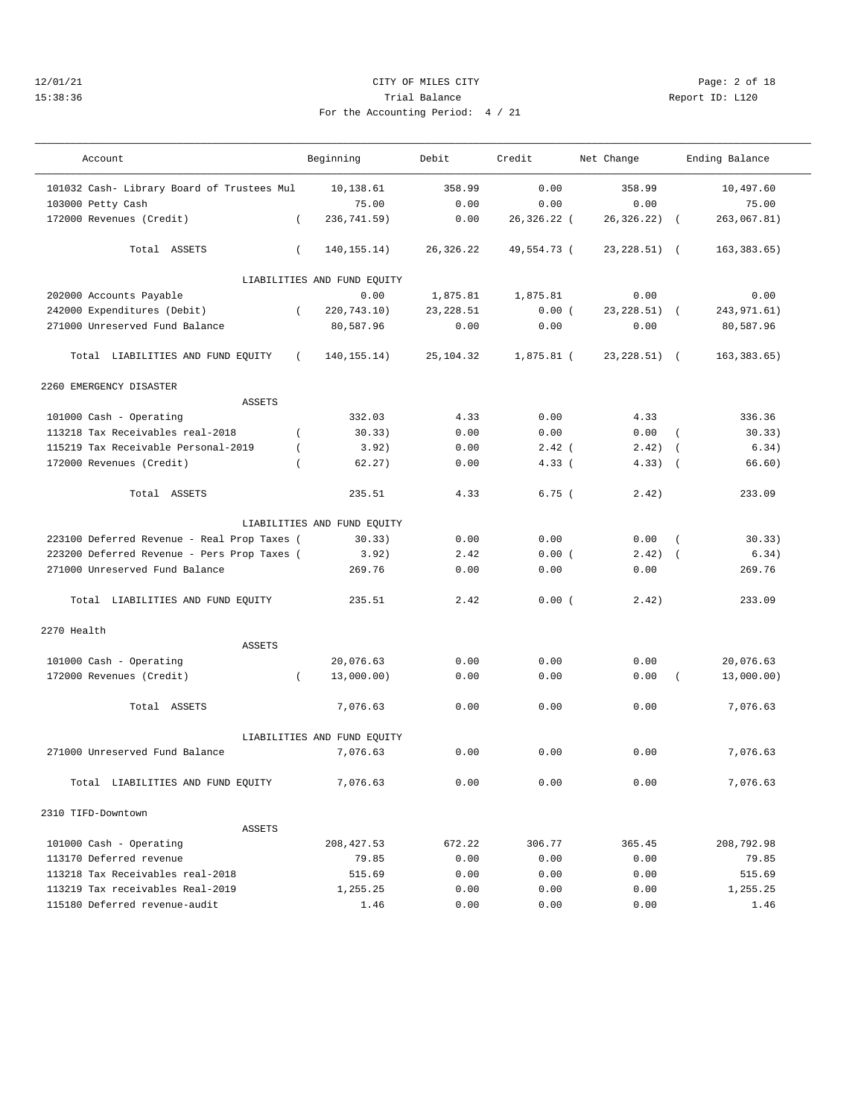## 12/01/21 CITY OF MILES CITY Page: 2 of 18 15:38:36 Trial Balance Report ID: L120 For the Accounting Period: 4 / 21

———————————————————————————————————————————————————————————————————————————————————————————————————————————————————————————————————

| 21 |  |  |  |
|----|--|--|--|

| Account                                     | Beginning                     | Debit      | Credit       | Net Change      |                | Ending Balance |  |
|---------------------------------------------|-------------------------------|------------|--------------|-----------------|----------------|----------------|--|
| 101032 Cash- Library Board of Trustees Mul  | 10,138.61                     | 358.99     | 0.00         | 358.99          |                | 10,497.60      |  |
| 103000 Petty Cash                           | 75.00                         | 0.00       | 0.00         | 0.00            |                | 75.00          |  |
| 172000 Revenues (Credit)                    | $\left($<br>236,741.59)       | 0.00       | 26,326.22 (  | 26,326.22)      | $\sqrt{2}$     | 263,067.81)    |  |
| Total ASSETS                                | $\left($<br>140, 155. 14)     | 26,326.22  | 49,554.73 (  | $23, 228.51$ (  |                | 163,383.65)    |  |
|                                             | LIABILITIES AND FUND EQUITY   |            |              |                 |                |                |  |
| 202000 Accounts Payable                     | 0.00                          | 1,875.81   | 1,875.81     | 0.00            |                | 0.00           |  |
| 242000 Expenditures (Debit)                 | $\overline{ }$<br>220,743.10) | 23, 228.51 | 0.00(        | $23, 228.51)$ ( |                | 243, 971.61)   |  |
| 271000 Unreserved Fund Balance              | 80,587.96                     | 0.00       | 0.00         | 0.00            |                | 80,587.96      |  |
| Total LIABILITIES AND FUND EQUITY           | $\left($<br>140, 155. 14)     | 25,104.32  | $1,875.81$ ( | $23, 228.51)$ ( |                | 163,383.65)    |  |
| 2260 EMERGENCY DISASTER                     |                               |            |              |                 |                |                |  |
| ASSETS                                      |                               |            |              |                 |                |                |  |
| 101000 Cash - Operating                     | 332.03                        | 4.33       | 0.00         | 4.33            |                | 336.36         |  |
| 113218 Tax Receivables real-2018            | $\overline{ }$<br>30.33)      | 0.00       | 0.00         | 0.00            | $\overline{ }$ | 30.33)         |  |
| 115219 Tax Receivable Personal-2019         | 3.92)<br>$\left($             | 0.00       | $2.42$ (     | 2.42)           | $\sqrt{2}$     | 6.34)          |  |
| 172000 Revenues (Credit)                    | 62.27)                        | 0.00       | 4.33(        | 4.33)           | $\sqrt{2}$     | 66.60)         |  |
| Total ASSETS                                | 235.51                        | 4.33       | 6.75(        | 2.42)           |                | 233.09         |  |
|                                             | LIABILITIES AND FUND EQUITY   |            |              |                 |                |                |  |
| 223100 Deferred Revenue - Real Prop Taxes ( | 30.33)                        | 0.00       | 0.00         | 0.00            | $\left($       | 30.33)         |  |
| 223200 Deferred Revenue - Pers Prop Taxes ( | 3.92)                         | 2.42       | 0.00(        | 2.42)           | $\sqrt{ }$     | 6.34)          |  |
| 271000 Unreserved Fund Balance              | 269.76                        | 0.00       | 0.00         | 0.00            |                | 269.76         |  |
| Total LIABILITIES AND FUND EQUITY           | 235.51                        | 2.42       | 0.00(        | 2.42)           |                | 233.09         |  |
| 2270 Health                                 |                               |            |              |                 |                |                |  |
| <b>ASSETS</b>                               |                               |            |              |                 |                |                |  |
| 101000 Cash - Operating                     | 20,076.63                     | 0.00       | 0.00         | 0.00            |                | 20,076.63      |  |
| 172000 Revenues (Credit)                    | 13,000.00)<br>$\left($        | 0.00       | 0.00         | 0.00            |                | 13,000.00)     |  |
| Total ASSETS                                | 7,076.63                      | 0.00       | 0.00         | 0.00            |                | 7,076.63       |  |
|                                             | LIABILITIES AND FUND EQUITY   |            |              |                 |                |                |  |
| 271000 Unreserved Fund Balance              | 7,076.63                      | 0.00       | 0.00         | 0.00            |                | 7,076.63       |  |
| Total LIABILITIES AND FUND EQUITY           | 7,076.63                      | 0.00       | 0.00         | 0.00            |                | 7,076.63       |  |
| 2310 TIFD-Downtown                          |                               |            |              |                 |                |                |  |
| <b>ASSETS</b>                               |                               |            |              |                 |                |                |  |
| 101000 Cash - Operating                     | 208, 427.53                   | 672.22     | 306.77       | 365.45          |                | 208,792.98     |  |
| 113170 Deferred revenue                     | 79.85                         | 0.00       | 0.00         | 0.00            |                | 79.85          |  |
| 113218 Tax Receivables real-2018            | 515.69                        | 0.00       | 0.00         | 0.00            |                | 515.69         |  |
| 113219 Tax receivables Real-2019            | 1,255.25                      | 0.00       | 0.00         | 0.00            |                | 1,255.25       |  |
| 115180 Deferred revenue-audit               | 1.46                          | 0.00       | 0.00         | 0.00            |                | 1.46           |  |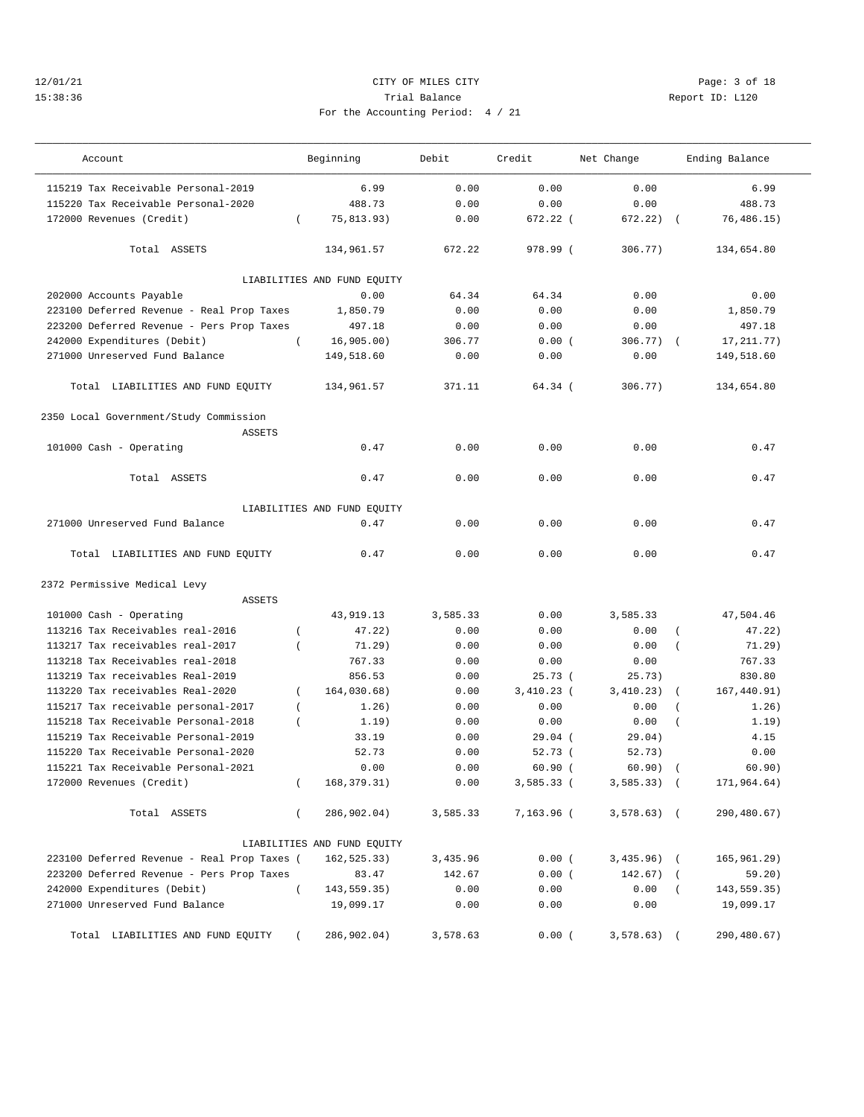## 12/01/21 CITY OF MILES CITY Page: 3 of 18 15:38:36 Trial Balance Report ID: L120 For the Accounting Period: 4 / 21

| Account                                     | Beginning                   | Debit    | Credit       | Net Change   | Ending Balance          |
|---------------------------------------------|-----------------------------|----------|--------------|--------------|-------------------------|
| 115219 Tax Receivable Personal-2019         | 6.99                        | 0.00     | 0.00         | 0.00         | 6.99                    |
| 115220 Tax Receivable Personal-2020         | 488.73                      | 0.00     | 0.00         | 0.00         | 488.73                  |
| 172000 Revenues (Credit)                    | 75,813.93)<br>$\left($      | 0.00     | $672.22$ (   | 672.22)      | 76, 486.15)             |
| Total ASSETS                                | 134,961.57                  | 672.22   | 978.99 (     | 306.77)      | 134,654.80              |
|                                             | LIABILITIES AND FUND EQUITY |          |              |              |                         |
| 202000 Accounts Payable                     | 0.00                        | 64.34    | 64.34        | 0.00         | 0.00                    |
| 223100 Deferred Revenue - Real Prop Taxes   | 1,850.79                    | 0.00     | 0.00         | 0.00         | 1,850.79                |
| 223200 Deferred Revenue - Pers Prop Taxes   | 497.18                      | 0.00     | 0.00         | 0.00         | 497.18                  |
| 242000 Expenditures (Debit)                 | $\left($<br>16,905.00       | 306.77   | 0.00(        | 306.77)      | 17, 211. 77)            |
| 271000 Unreserved Fund Balance              | 149,518.60                  | 0.00     | 0.00         | 0.00         | 149,518.60              |
| Total LIABILITIES AND FUND EQUITY           | 134,961.57                  | 371.11   | 64.34(       | 306.77)      | 134,654.80              |
| 2350 Local Government/Study Commission      |                             |          |              |              |                         |
| <b>ASSETS</b><br>101000 Cash - Operating    | 0.47                        | 0.00     | 0.00         | 0.00         | 0.47                    |
| Total ASSETS                                | 0.47                        | 0.00     | 0.00         | 0.00         | 0.47                    |
|                                             |                             |          |              |              |                         |
|                                             | LIABILITIES AND FUND EQUITY |          |              |              |                         |
| 271000 Unreserved Fund Balance              | 0.47                        | 0.00     | 0.00         | 0.00         | 0.47                    |
| Total LIABILITIES AND FUND EQUITY           | 0.47                        | 0.00     | 0.00         | 0.00         | 0.47                    |
| 2372 Permissive Medical Levy                |                             |          |              |              |                         |
| <b>ASSETS</b>                               |                             |          |              |              |                         |
| 101000 Cash - Operating                     | 43,919.13                   | 3,585.33 | 0.00         | 3,585.33     | 47,504.46               |
| 113216 Tax Receivables real-2016            | 47.22)                      | 0.00     | 0.00         | 0.00         | 47.22)                  |
| 113217 Tax receivables real-2017            | 71.29)<br>$\overline{ }$    | 0.00     | 0.00         | 0.00         | 71.29)<br>$\left($      |
| 113218 Tax Receivables real-2018            | 767.33                      | 0.00     | 0.00         | 0.00         | 767.33                  |
| 113219 Tax receivables Real-2019            | 856.53                      | 0.00     | 25.73(       | 25.73)       | 830.80                  |
| 113220 Tax receivables Real-2020            | 164,030.68)<br>$\left($     | 0.00     | $3,410.23$ ( | 3,410.23)    | 167,440.91)<br>$\left($ |
| 115217 Tax receivable personal-2017         | 1.26)<br>$\left($           | 0.00     | 0.00         | 0.00         | 1.26)                   |
| 115218 Tax Receivable Personal-2018         | 1.19)<br>$\left($           | 0.00     | 0.00         | 0.00         | 1.19)<br>$\overline{ }$ |
| 115219 Tax Receivable Personal-2019         | 33.19                       | 0.00     | 29.04(       | 29.04)       | 4.15                    |
| 115220 Tax Receivable Personal-2020         | 52.73                       | 0.00     | 52.73(       | 52.73)       | 0.00                    |
| 115221 Tax Receivable Personal-2021         | 0.00                        | 0.00     | 60.90(       | 60.90)       | 60.90)                  |
| 172000 Revenues (Credit)                    | 168, 379. 31)<br>$\left($   | 0.00     | $3,585.33$ ( | $3,585.33$ ( | 171,964.64)             |
| Total ASSETS                                | $\left($<br>286,902.04)     | 3,585.33 | 7,163.96 (   | $3,578.63$ ( | 290,480.67)             |
|                                             | LIABILITIES AND FUND EQUITY |          |              |              |                         |
| 223100 Deferred Revenue - Real Prop Taxes ( | 162,525.33)                 | 3,435.96 | 0.00(        | $3,435.96$ ( | 165,961.29)             |
| 223200 Deferred Revenue - Pers Prop Taxes   | 83.47                       | 142.67   | 0.00(        | $142.67$ ) ( | 59.20)                  |
| 242000 Expenditures (Debit)                 | $\left($<br>143, 559. 35)   | 0.00     | 0.00         | 0.00         | 143,559.35)<br>$\left($ |
| 271000 Unreserved Fund Balance              | 19,099.17                   | 0.00     | 0.00         | 0.00         | 19,099.17               |
| Total LIABILITIES AND FUND EQUITY           | 286,902.04)                 | 3,578.63 | 0.00(        | $3,578.63$ ( | 290,480.67)             |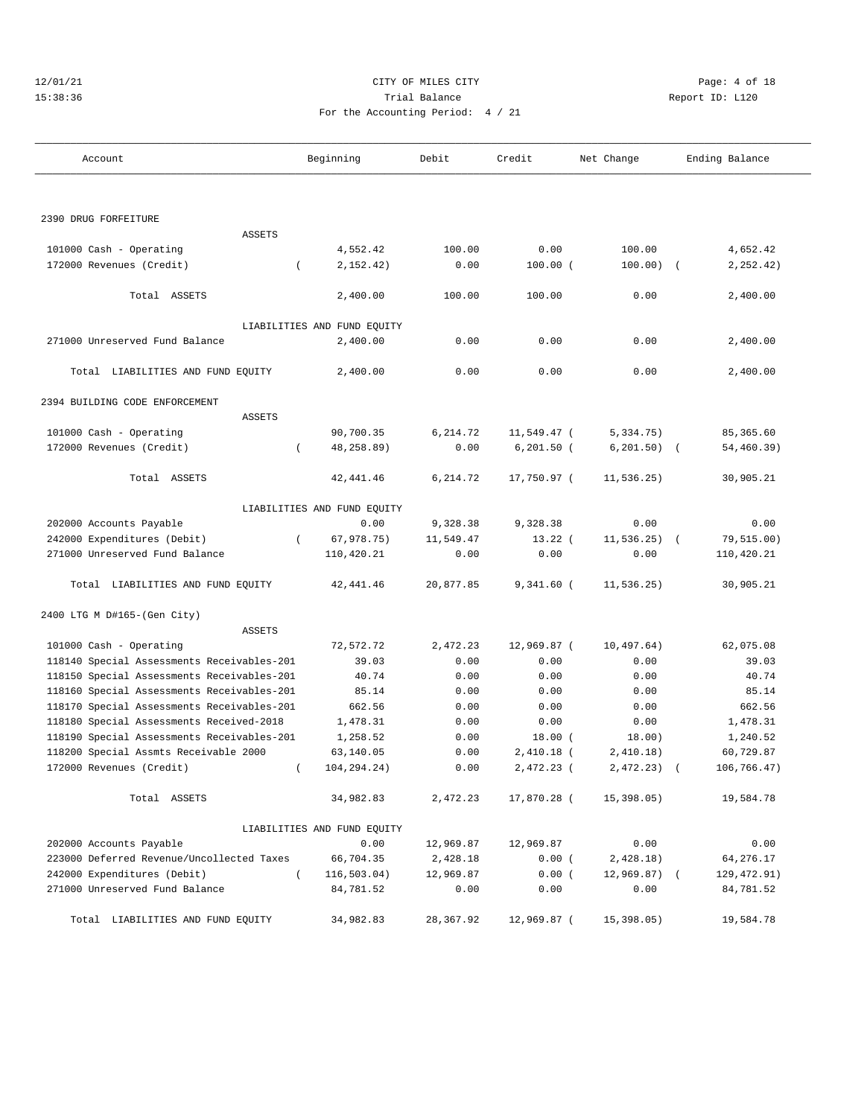|  | 12/01/21 |  |
|--|----------|--|
|  | 5:38:3   |  |

## CITY OF MILES CITY **CHANGE CITY** Page: 4 of 18 15:38:36 Report ID: L120 For the Accounting Period: 4 / 21

| Account                                    | Beginning                   | Debit     | Credit        | Net Change     | Ending Balance |
|--------------------------------------------|-----------------------------|-----------|---------------|----------------|----------------|
|                                            |                             |           |               |                |                |
| 2390 DRUG FORFEITURE                       |                             |           |               |                |                |
| <b>ASSETS</b>                              |                             |           |               |                |                |
| 101000 Cash - Operating                    | 4,552.42                    | 100.00    | 0.00          | 100.00         | 4,652.42       |
| 172000 Revenues (Credit)<br>$\left($       | 2,152.42)                   | 0.00      | $100.00$ (    | $100.00)$ (    | 2, 252.42)     |
| Total ASSETS                               | 2,400.00                    | 100.00    | 100.00        | 0.00           | 2,400.00       |
|                                            | LIABILITIES AND FUND EQUITY |           |               |                |                |
| 271000 Unreserved Fund Balance             | 2,400.00                    | 0.00      | 0.00          | 0.00           | 2,400.00       |
| Total LIABILITIES AND FUND EQUITY          | 2,400.00                    | 0.00      | 0.00          | 0.00           | 2,400.00       |
| 2394 BUILDING CODE ENFORCEMENT             |                             |           |               |                |                |
| <b>ASSETS</b>                              |                             |           |               |                |                |
| 101000 Cash - Operating                    | 90,700.35                   | 6,214.72  | 11,549.47 (   | 5,334.75)      | 85, 365.60     |
| 172000 Revenues (Credit)<br>$\left($       | 48,258.89)                  | 0.00      | $6, 201.50$ ( | $6, 201.50$ (  | 54,460.39)     |
| Total ASSETS                               | 42, 441.46                  | 6,214.72  | 17,750.97 (   | 11, 536.25)    | 30,905.21      |
|                                            | LIABILITIES AND FUND EQUITY |           |               |                |                |
| 202000 Accounts Payable                    | 0.00                        | 9,328.38  | 9,328.38      | 0.00           | 0.00           |
| 242000 Expenditures (Debit)<br>$\left($    | 67,978.75)                  | 11,549.47 | $13.22$ (     | $11, 536.25$ ( | 79,515.00)     |
| 271000 Unreserved Fund Balance             | 110,420.21                  | 0.00      | 0.00          | 0.00           | 110,420.21     |
| Total LIABILITIES AND FUND EQUITY          | 42, 441.46                  | 20,877.85 | $9,341.60$ (  | 11,536.25)     | 30,905.21      |
| 2400 LTG M D#165-(Gen City)                |                             |           |               |                |                |
| ASSETS                                     |                             |           |               |                |                |
| 101000 Cash - Operating                    | 72,572.72                   | 2,472.23  | 12,969.87 (   | 10, 497.64)    | 62,075.08      |
| 118140 Special Assessments Receivables-201 | 39.03                       | 0.00      | 0.00          | 0.00           | 39.03          |
| 118150 Special Assessments Receivables-201 | 40.74                       | 0.00      | 0.00          | 0.00           | 40.74          |
| 118160 Special Assessments Receivables-201 | 85.14                       | 0.00      | 0.00          | 0.00           | 85.14          |
| 118170 Special Assessments Receivables-201 | 662.56                      | 0.00      | 0.00          | 0.00           | 662.56         |
| 118180 Special Assessments Received-2018   | 1,478.31                    | 0.00      | 0.00          | 0.00           | 1,478.31       |
| 118190 Special Assessments Receivables-201 | 1,258.52                    | 0.00      | 18.00(        | 18.00)         | 1,240.52       |
| 118200 Special Assmts Receivable 2000      | 63,140.05                   | 0.00      | 2,410.18 (    | 2,410.18)      | 60,729.87      |
| 172000 Revenues (Credit)<br>$\left($       | 104, 294. 24)               | 0.00      | 2,472.23 (    | 2,472.23)      | 106,766.47)    |
| Total ASSETS                               | 34,982.83                   | 2,472.23  | 17,870.28 (   | 15,398.05)     | 19,584.78      |
|                                            | LIABILITIES AND FUND EQUITY |           |               |                |                |
| 202000 Accounts Payable                    | 0.00                        | 12,969.87 | 12,969.87     | 0.00           | 0.00           |
| 223000 Deferred Revenue/Uncollected Taxes  | 66,704.35                   | 2,428.18  | 0.00(         | 2,428.18)      | 64,276.17      |
| 242000 Expenditures (Debit)<br>$\left($    | 116, 503.04)                | 12,969.87 | 0.00(         | $12,969.87$ (  | 129, 472.91)   |
| 271000 Unreserved Fund Balance             | 84,781.52                   | 0.00      | 0.00          | 0.00           | 84,781.52      |
| Total LIABILITIES AND FUND EQUITY          | 34,982.83                   | 28,367.92 | 12,969.87 (   | 15,398.05)     | 19,584.78      |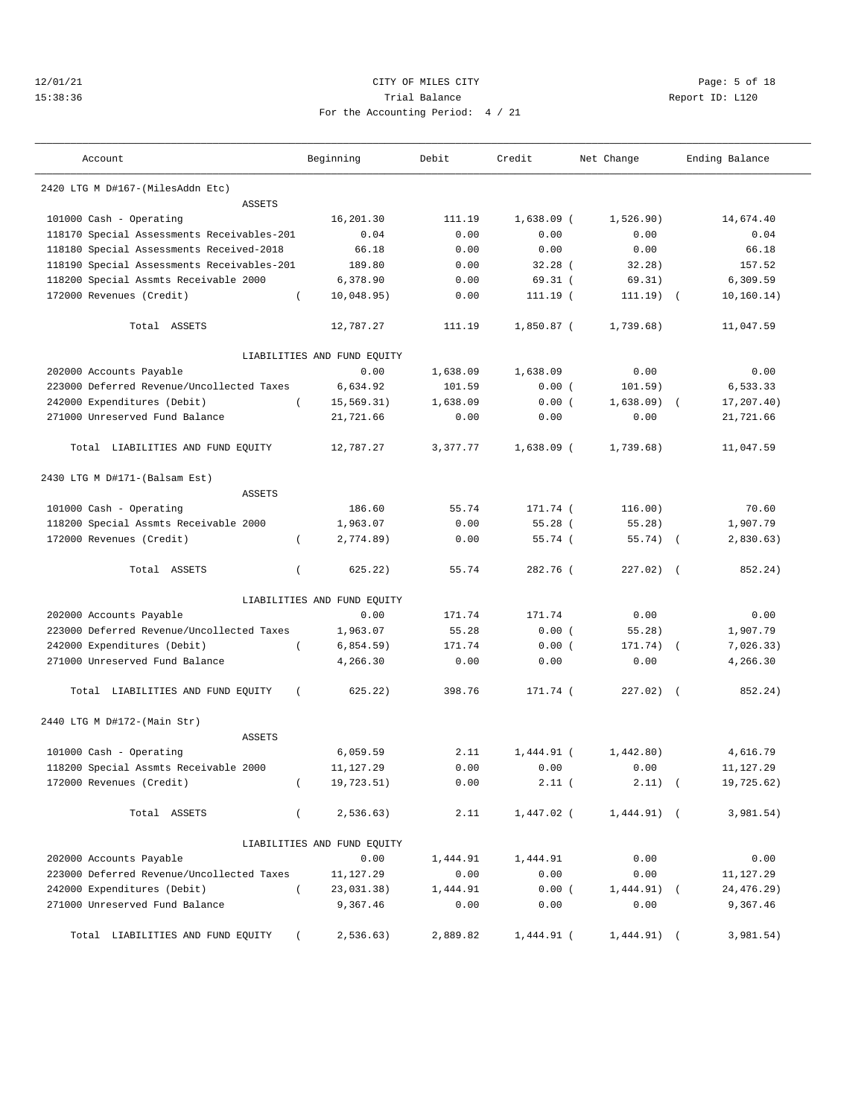#### 12/01/21 Page: 5 of 18 15:38:36 Trial Balance Report ID: L120 For the Accounting Period: 4 / 21

| Report ID: |  |
|------------|--|
|            |  |
|            |  |

| Account                                    | Beginning                   | Debit    | Credit       | Net Change    |            | Ending Balance |
|--------------------------------------------|-----------------------------|----------|--------------|---------------|------------|----------------|
| 2420 LTG M D#167-(MilesAddn Etc)           |                             |          |              |               |            |                |
| <b>ASSETS</b>                              |                             |          |              |               |            |                |
| 101000 Cash - Operating                    | 16,201.30                   | 111.19   | $1,638.09$ ( | 1,526.90)     |            | 14,674.40      |
| 118170 Special Assessments Receivables-201 | 0.04                        | 0.00     | 0.00         | 0.00          |            | 0.04           |
| 118180 Special Assessments Received-2018   | 66.18                       | 0.00     | 0.00         | 0.00          |            | 66.18          |
| 118190 Special Assessments Receivables-201 | 189.80                      | 0.00     | $32.28$ (    | 32.28)        |            | 157.52         |
| 118200 Special Assmts Receivable 2000      | 6,378.90                    | 0.00     | 69.31(       | 69.31)        |            | 6,309.59       |
| 172000 Revenues (Credit)                   | 10,048.95)<br>$\left($      | 0.00     | 111.19 (     | 111.19)       |            | 10, 160.14)    |
| Total ASSETS                               | 12,787.27                   | 111.19   | $1,850.87$ ( | 1,739.68)     |            | 11,047.59      |
|                                            | LIABILITIES AND FUND EQUITY |          |              |               |            |                |
| 202000 Accounts Payable                    | 0.00                        | 1,638.09 | 1,638.09     | 0.00          |            | 0.00           |
| 223000 Deferred Revenue/Uncollected Taxes  | 6,634.92                    | 101.59   | 0.00(        | 101.59)       |            | 6,533.33       |
| 242000 Expenditures (Debit)                | 15, 569.31)<br>$\left($     | 1,638.09 | 0.00(        | 1,638.09)     |            | 17,207.40)     |
| 271000 Unreserved Fund Balance             | 21,721.66                   | 0.00     | 0.00         | 0.00          |            | 21,721.66      |
| Total LIABILITIES AND FUND EQUITY          | 12,787.27                   | 3,377.77 | $1,638.09$ ( | 1,739.68)     |            | 11,047.59      |
| 2430 LTG M D#171-(Balsam Est)              |                             |          |              |               |            |                |
| <b>ASSETS</b>                              |                             |          |              |               |            |                |
| 101000 Cash - Operating                    | 186.60                      | 55.74    | 171.74 (     | 116.00)       |            | 70.60          |
| 118200 Special Assmts Receivable 2000      | 1,963.07                    | 0.00     | 55.28(       | 55.28)        |            | 1,907.79       |
| 172000 Revenues (Credit)                   | 2,774.89)<br>$\left($       | 0.00     | 55.74(       | $55.74)$ (    |            | 2,830.63)      |
| Total ASSETS                               | 625.22)<br>$\left($         | 55.74    | 282.76 (     | $227.02)$ (   |            | 852.24)        |
|                                            | LIABILITIES AND FUND EQUITY |          |              |               |            |                |
| 202000 Accounts Payable                    | 0.00                        | 171.74   | 171.74       | 0.00          |            | 0.00           |
| 223000 Deferred Revenue/Uncollected Taxes  | 1,963.07                    | 55.28    | 0.00(        | 55.28)        |            | 1,907.79       |
| 242000 Expenditures (Debit)                | $\overline{ }$<br>6,854.59) | 171.74   | 0.00(        | 171.74)       | $\sqrt{2}$ | 7,026.33)      |
| 271000 Unreserved Fund Balance             | 4,266.30                    | 0.00     | 0.00         | 0.00          |            | 4,266.30       |
| Total LIABILITIES AND FUND EQUITY          | 625.22)<br>$\left($         | 398.76   | 171.74 (     | $227.02)$ (   |            | 852.24)        |
| 2440 LTG M D#172-(Main Str)                |                             |          |              |               |            |                |
| <b>ASSETS</b>                              |                             |          |              |               |            |                |
| 101000 Cash - Operating                    | 6,059.59                    | 2.11     | $1,444.91$ ( | 1,442,80)     |            | 4,616.79       |
| 118200 Special Assmts Receivable 2000      | 11,127.29                   | 0.00     | 0.00         | 0.00          |            | 11,127.29      |
| 172000 Revenues (Credit)                   | 19,723.51)<br>$\left($      | 0.00     | 2.11(        | $2.11)$ (     |            | 19,725.62)     |
| Total ASSETS                               | $\left($<br>2, 536.63)      | 2.11     | 1,447.02 (   | $1,444.91)$ ( |            | 3,981.54)      |
|                                            | LIABILITIES AND FUND EQUITY |          |              |               |            |                |
| 202000 Accounts Payable                    | 0.00                        | 1,444.91 | 1,444.91     | 0.00          |            | 0.00           |
| 223000 Deferred Revenue/Uncollected Taxes  | 11,127.29                   | 0.00     | 0.00         | 0.00          |            | 11,127.29      |
| 242000 Expenditures (Debit)                | $\left($<br>23,031.38)      | 1,444.91 | 0.00(        | $1,444.91)$ ( |            | 24,476.29)     |
| 271000 Unreserved Fund Balance             | 9,367.46                    | 0.00     | 0.00         | 0.00          |            | 9,367.46       |
| Total LIABILITIES AND FUND EQUITY          | 2,536.63)                   | 2,889.82 | 1,444.91 (   | $1,444.91)$ ( |            | 3,981.54)      |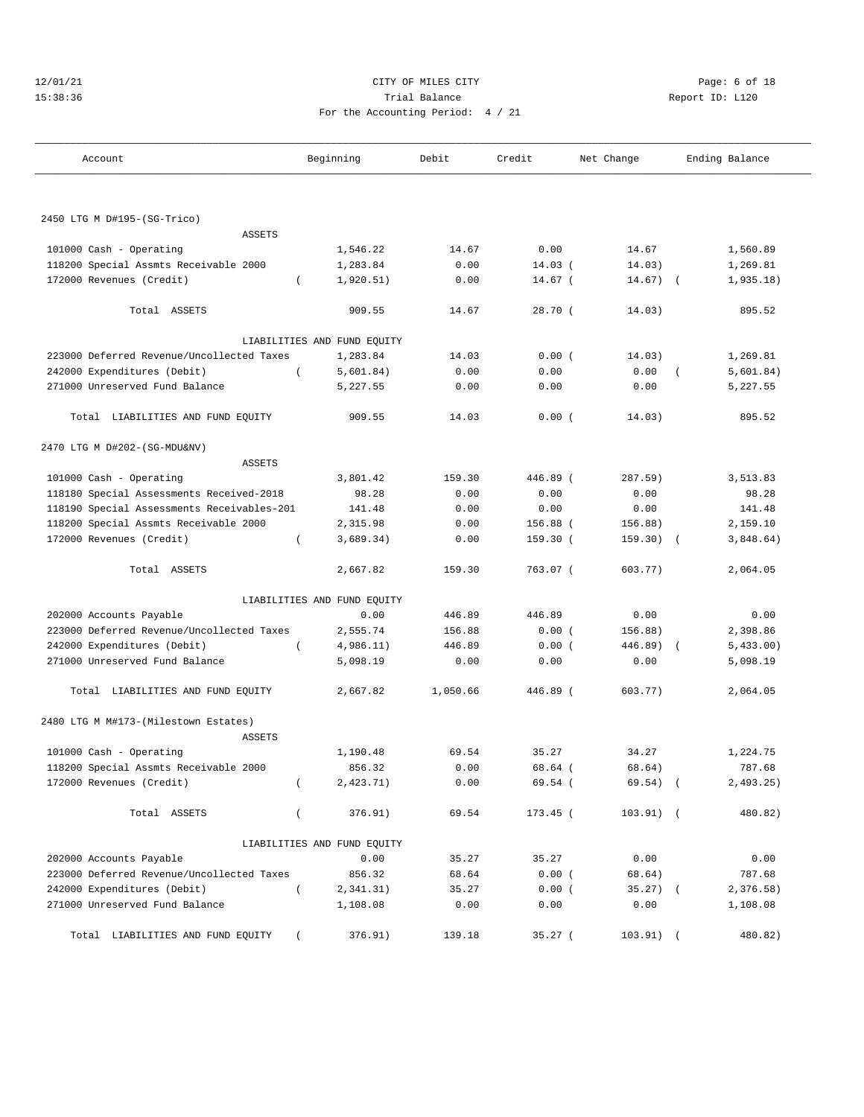| 12/01/21 |         |  |  |  |  |
|----------|---------|--|--|--|--|
|          | 15:38:3 |  |  |  |  |

## CITY OF MILES CITY **CHANGE CITY** Page: 6 of 18 15:38:36 Report ID: L120 For the Accounting Period: 4 / 21

| Account                                    | Beginning                   | Debit    | Credit     | Net Change  | Ending Balance          |
|--------------------------------------------|-----------------------------|----------|------------|-------------|-------------------------|
|                                            |                             |          |            |             |                         |
| 2450 LTG M D#195-(SG-Trico)                |                             |          |            |             |                         |
| <b>ASSETS</b>                              |                             |          |            |             |                         |
| 101000 Cash - Operating                    | 1,546.22                    | 14.67    | 0.00       | 14.67       | 1,560.89                |
| 118200 Special Assmts Receivable 2000      | 1,283.84                    | 0.00     | $14.03$ (  | 14.03)      | 1,269.81                |
| 172000 Revenues (Credit)                   | 1,920.51)<br>$\left($       | 0.00     | $14.67$ (  | 14.67)      | 1,935.18)<br>$\sqrt{2}$ |
| Total ASSETS                               | 909.55                      | 14.67    | 28.70(     | 14.03)      | 895.52                  |
|                                            | LIABILITIES AND FUND EQUITY |          |            |             |                         |
| 223000 Deferred Revenue/Uncollected Taxes  | 1,283.84                    | 14.03    | 0.00(      | 14.03)      | 1,269.81                |
| 242000 Expenditures (Debit)                | 5,601.84)                   | 0.00     | 0.00       | 0.00        | 5,601.84)               |
| 271000 Unreserved Fund Balance             | 5,227.55                    | 0.00     | 0.00       | 0.00        | 5,227.55                |
| Total LIABILITIES AND FUND EQUITY          | 909.55                      | 14.03    | 0.00(      | 14.03)      | 895.52                  |
| 2470 LTG M D#202-(SG-MDU&NV)               |                             |          |            |             |                         |
| <b>ASSETS</b>                              |                             |          |            |             |                         |
| 101000 Cash - Operating                    | 3,801.42                    | 159.30   | 446.89 (   | 287.59)     | 3,513.83                |
| 118180 Special Assessments Received-2018   | 98.28                       | 0.00     | 0.00       | 0.00        | 98.28                   |
| 118190 Special Assessments Receivables-201 | 141.48                      | 0.00     | 0.00       | 0.00        | 141.48                  |
| 118200 Special Assmts Receivable 2000      | 2,315.98                    | 0.00     | $156.88$ ( | 156.88)     | 2,159.10                |
| 172000 Revenues (Credit)                   | 3,689.34)<br>$\left($       | 0.00     | 159.30 (   | $159.30)$ ( | 3,848.64)               |
| Total ASSETS                               | 2,667.82                    | 159.30   | 763.07 (   | 603.77)     | 2,064.05                |
|                                            | LIABILITIES AND FUND EQUITY |          |            |             |                         |
| 202000 Accounts Payable                    | 0.00                        | 446.89   | 446.89     | 0.00        | 0.00                    |
| 223000 Deferred Revenue/Uncollected Taxes  | 2,555.74                    | 156.88   | 0.00(      | 156.88)     | 2,398.86                |
| 242000 Expenditures (Debit)                | $\overline{ }$<br>4,986.11) | 446.89   | 0.00(      | $446.89$ (  | 5,433.00)               |
| 271000 Unreserved Fund Balance             | 5,098.19                    | 0.00     | 0.00       | 0.00        | 5,098.19                |
| Total LIABILITIES AND FUND EQUITY          | 2,667.82                    | 1,050.66 | 446.89 (   | 603.77)     | 2,064.05                |
| 2480 LTG M M#173-(Milestown Estates)       |                             |          |            |             |                         |
| <b>ASSETS</b>                              |                             |          |            |             |                         |
| 101000 Cash - Operating                    | 1,190.48                    | 69.54    | 35.27      | 34.27       | 1,224.75                |
| 118200 Special Assmts Receivable 2000      | 856.32                      | 0.00     | 68.64 (    | 68.64)      | 787.68                  |
| 172000 Revenues (Credit)                   | $\left($<br>2,423.71)       | 0.00     | 69.54(     | $69.54)$ (  | 2,493.25)               |
| Total ASSETS                               | $\left($<br>376.91)         | 69.54    | $173.45$ ( | $103.91)$ ( | 480.82)                 |
|                                            | LIABILITIES AND FUND EQUITY |          |            |             |                         |
| 202000 Accounts Payable                    | 0.00                        | 35.27    | 35.27      | 0.00        | 0.00                    |
| 223000 Deferred Revenue/Uncollected Taxes  | 856.32                      | 68.64    | 0.00(      | 68.64)      | 787.68                  |
| 242000 Expenditures (Debit)                | $\left($<br>2,341.31)       | 35.27    | 0.00(      | $35.27)$ (  | 2,376.58)               |
| 271000 Unreserved Fund Balance             | 1,108.08                    | 0.00     | 0.00       | 0.00        | 1,108.08                |
| Total LIABILITIES AND FUND EQUITY          | 376.91)<br>$\left($         | 139.18   | $35.27$ (  | $103.91)$ ( | 480.82)                 |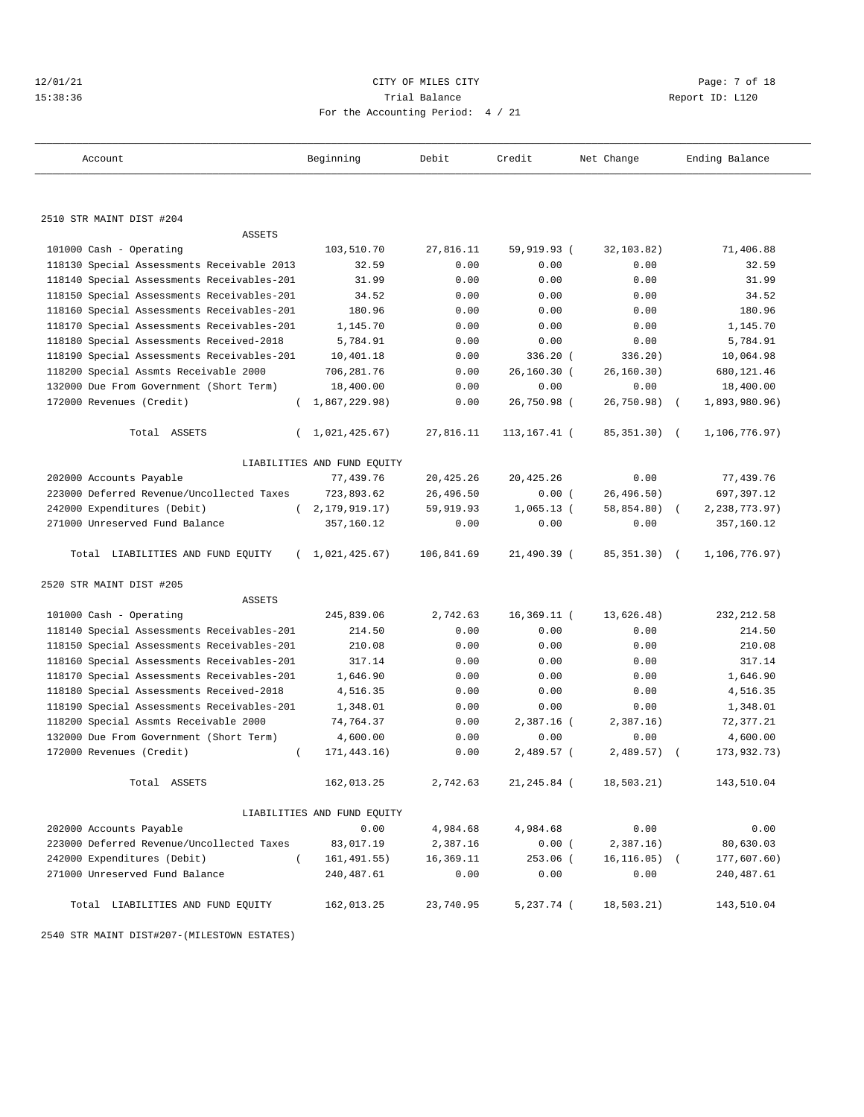| 12/01/21 |  |
|----------|--|
| 15:38:36 |  |

#### CITY OF MILES CITY CITY Rage: 7 of 18 Trial Balance Report ID: L120 For the Accounting Period: 4 / 21

——————————————————————————————————————————————————————————————————————————————————————————————————————————————————————————————————— Account Beginning Debit Credit Net Change Ending Balance

| 2510 STR MAINT DIST #204                   |                             |            |                 |                 |            |               |  |
|--------------------------------------------|-----------------------------|------------|-----------------|-----------------|------------|---------------|--|
| <b>ASSETS</b>                              |                             |            |                 |                 |            |               |  |
| 101000 Cash - Operating                    | 103,510.70                  | 27,816.11  | 59,919.93 (     | 32,103.82)      |            | 71,406.88     |  |
| 118130 Special Assessments Receivable 2013 | 32.59                       | 0.00       | 0.00            | 0.00            |            | 32.59         |  |
| 118140 Special Assessments Receivables-201 | 31.99                       | 0.00       | 0.00            | 0.00            |            | 31.99         |  |
| 118150 Special Assessments Receivables-201 | 34.52                       | 0.00       | 0.00            | 0.00            |            | 34.52         |  |
| 118160 Special Assessments Receivables-201 | 180.96                      | 0.00       | 0.00            | 0.00            |            | 180.96        |  |
| 118170 Special Assessments Receivables-201 | 1,145.70                    | 0.00       | 0.00            | 0.00            |            | 1,145.70      |  |
| 118180 Special Assessments Received-2018   | 5,784.91                    | 0.00       | 0.00            | 0.00            |            | 5,784.91      |  |
| 118190 Special Assessments Receivables-201 | 10,401.18                   | 0.00       | 336.20 (        | 336.20)         |            | 10,064.98     |  |
| 118200 Special Assmts Receivable 2000      | 706,281.76                  | 0.00       | $26, 160.30$ (  | 26.160.30)      |            | 680,121.46    |  |
| 132000 Due From Government (Short Term)    | 18,400.00                   | 0.00       | 0.00            | 0.00            |            | 18,400.00     |  |
| 172000 Revenues (Credit)                   | (1, 867, 229.98)            | 0.00       | 26,750.98 (     | 26,750.98)      | $\sqrt{2}$ | 1,893,980.96) |  |
| Total ASSETS<br>$\left($                   | 1,021,425.67)               | 27,816.11  | $113, 167.41$ ( | 85,351.30) (    |            | 1,106,776.97) |  |
|                                            | LIABILITIES AND FUND EQUITY |            |                 |                 |            |               |  |
| 202000 Accounts Payable                    | 77,439.76                   | 20,425.26  | 20, 425.26      | 0.00            |            | 77,439.76     |  |
| 223000 Deferred Revenue/Uncollected Taxes  | 723,893.62                  | 26,496.50  | 0.00(           | 26, 496.50)     |            | 697,397.12    |  |
| 242000 Expenditures (Debit)                | (2, 179, 919.17)            | 59,919.93  | $1,065.13$ (    | 58,854.80)      |            | 2,238,773.97) |  |
| 271000 Unreserved Fund Balance             | 357,160.12                  | 0.00       | 0.00            | 0.00            |            | 357,160.12    |  |
| Total LIABILITIES AND FUND EQUITY          | (1, 021, 425.67)            | 106,841.69 | $21.490.39$ (   | 85,351.30) (    |            | 1,106,776.97) |  |
| 2520 STR MAINT DIST #205                   |                             |            |                 |                 |            |               |  |
| <b>ASSETS</b>                              |                             |            |                 |                 |            |               |  |
| 101000 Cash - Operating                    | 245,839.06                  | 2,742.63   | $16,369.11$ (   | 13,626.48)      |            | 232, 212.58   |  |
| 118140 Special Assessments Receivables-201 | 214.50                      | 0.00       | 0.00            | 0.00            |            | 214.50        |  |
| 118150 Special Assessments Receivables-201 | 210.08                      | 0.00       | 0.00            | 0.00            |            | 210.08        |  |
| 118160 Special Assessments Receivables-201 | 317.14                      | 0.00       | 0.00            | 0.00            |            | 317.14        |  |
| 118170 Special Assessments Receivables-201 | 1,646.90                    | 0.00       | 0.00            | 0.00            |            | 1,646.90      |  |
| 118180 Special Assessments Received-2018   | 4,516.35                    | 0.00       | 0.00            | 0.00            |            | 4,516.35      |  |
| 118190 Special Assessments Receivables-201 | 1,348.01                    | 0.00       | 0.00            | 0.00            |            | 1,348.01      |  |
| 118200 Special Assmts Receivable 2000      | 74,764.37                   | 0.00       | 2,387.16 (      | 2,387.16)       |            | 72,377.21     |  |
| 132000 Due From Government (Short Term)    | 4,600.00                    | 0.00       | 0.00            | 0.00            |            | 4,600.00      |  |
| 172000 Revenues (Credit)<br>$\left($       | 171,443.16)                 | 0.00       | 2,489.57 (      | $2,489.57$ (    |            | 173,932.73)   |  |
| Total ASSETS                               | 162,013.25                  | 2,742.63   | 21,245.84 (     | 18,503.21)      |            | 143,510.04    |  |
|                                            | LIABILITIES AND FUND EQUITY |            |                 |                 |            |               |  |
| 202000 Accounts Payable                    | 0.00                        | 4,984.68   | 4,984.68        | 0.00            |            | 0.00          |  |
| 223000 Deferred Revenue/Uncollected Taxes  | 83,017.19                   | 2,387.16   | 0.00(           | 2,387.16)       |            | 80,630.03     |  |
| 242000 Expenditures (Debit)<br>$\left($    | 161, 491.55)                | 16,369.11  | $253.06$ (      | $16, 116.05)$ ( |            | 177,607.60)   |  |
| 271000 Unreserved Fund Balance             | 240,487.61                  | 0.00       | 0.00            | 0.00            |            | 240,487.61    |  |
| Total LIABILITIES AND FUND EQUITY          | 162,013.25                  | 23,740.95  | 5,237.74 (      | 18,503.21)      |            | 143,510.04    |  |

2540 STR MAINT DIST#207-(MILESTOWN ESTATES)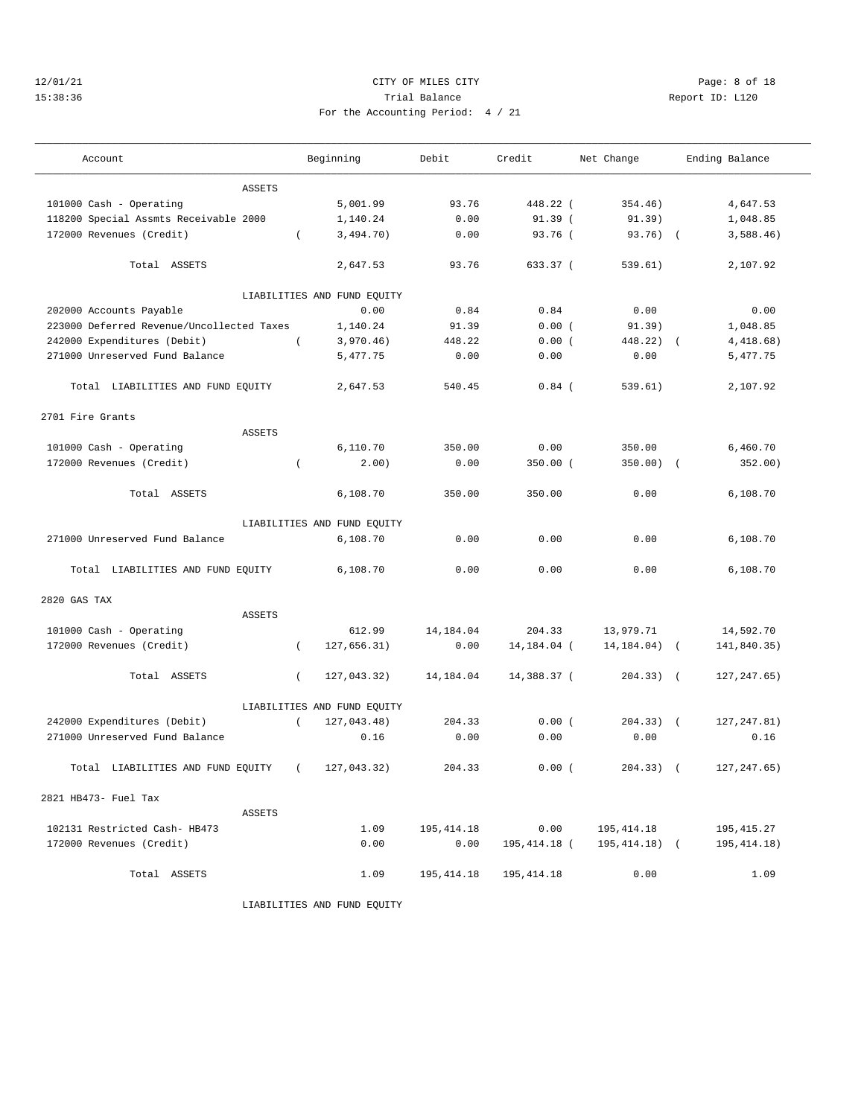## 12/01/21 CITY OF MILES CITY Page: 8 of 18 15:38:36 Trial Balance Report ID: L120 For the Accounting Period: 4 / 21

| Account                                   |          | Beginning                   | Debit      | Credit       | Net Change     |            | Ending Balance |
|-------------------------------------------|----------|-----------------------------|------------|--------------|----------------|------------|----------------|
| <b>ASSETS</b>                             |          |                             |            |              |                |            |                |
| 101000 Cash - Operating                   |          | 5,001.99                    | 93.76      | 448.22 (     | 354.46)        |            | 4,647.53       |
| 118200 Special Assmts Receivable 2000     |          | 1,140.24                    | 0.00       | 91.39(       | 91.39)         |            | 1,048.85       |
| 172000 Revenues (Credit)                  | $\left($ | 3,494.70)                   | 0.00       | 93.76 (      | $93.76$ (      |            | 3,588.46)      |
|                                           |          |                             |            |              |                |            |                |
| Total ASSETS                              |          | 2,647.53                    | 93.76      | 633.37 (     | 539.61)        |            | 2,107.92       |
|                                           |          | LIABILITIES AND FUND EQUITY |            |              |                |            |                |
| 202000 Accounts Payable                   |          | 0.00                        | 0.84       | 0.84         | 0.00           |            | 0.00           |
| 223000 Deferred Revenue/Uncollected Taxes |          | 1,140.24                    | 91.39      | 0.00(        | 91.39)         |            | 1,048.85       |
| 242000 Expenditures (Debit)               | $\left($ | 3,970.46)                   | 448.22     | 0.00(        | 448.22)        | $\sqrt{2}$ | 4,418.68)      |
| 271000 Unreserved Fund Balance            |          | 5,477.75                    | 0.00       | 0.00         | 0.00           |            | 5,477.75       |
| Total LIABILITIES AND FUND EQUITY         |          | 2,647.53                    | 540.45     | $0.84$ (     | 539.61)        |            | 2,107.92       |
| 2701 Fire Grants                          |          |                             |            |              |                |            |                |
| <b>ASSETS</b>                             |          |                             |            |              |                |            |                |
| 101000 Cash - Operating                   |          | 6,110.70                    | 350.00     | 0.00         | 350.00         |            | 6,460.70       |
| 172000 Revenues (Credit)                  | $\left($ | 2.00)                       | 0.00       | $350.00$ (   | 350.00)        | $\sqrt{2}$ | 352.00)        |
| Total ASSETS                              |          | 6,108.70                    | 350.00     | 350.00       | 0.00           |            | 6,108.70       |
|                                           |          | LIABILITIES AND FUND EQUITY |            |              |                |            |                |
| 271000 Unreserved Fund Balance            |          | 6,108.70                    | 0.00       | 0.00         | 0.00           |            | 6,108.70       |
| Total LIABILITIES AND FUND EQUITY         |          | 6,108.70                    | 0.00       | 0.00         | 0.00           |            | 6,108.70       |
| 2820 GAS TAX                              |          |                             |            |              |                |            |                |
| <b>ASSETS</b>                             |          |                             |            |              |                |            |                |
| 101000 Cash - Operating                   |          | 612.99                      | 14,184.04  | 204.33       | 13,979.71      |            | 14,592.70      |
| 172000 Revenues (Credit)                  | $\left($ | 127,656.31)                 | 0.00       | 14,184.04 (  | 14, 184.04)    | $\sqrt{2}$ | 141,840.35)    |
| Total ASSETS                              | $\left($ | 127,043.32)                 | 14,184.04  | 14,388.37 (  | $204.33)$ (    |            | 127, 247.65)   |
|                                           |          | LIABILITIES AND FUND EQUITY |            |              |                |            |                |
| 242000 Expenditures (Debit)               | $\left($ | 127,043.48)                 | 204.33     | 0.00(        | $204.33)$ (    |            | 127, 247.81)   |
| 271000 Unreserved Fund Balance            |          | 0.16                        | 0.00       | 0.00         | 0.00           |            | 0.16           |
| Total LIABILITIES AND FUND EQUITY         |          | 127,043.32)                 | 204.33     | 0.00(        | 204.33)        | $\sqrt{2}$ | 127, 247.65)   |
| 2821 HB473- Fuel Tax                      |          |                             |            |              |                |            |                |
| ASSETS                                    |          |                             |            |              |                |            |                |
| 102131 Restricted Cash- HB473             |          | 1.09                        | 195,414.18 | 0.00         | 195, 414.18    |            | 195,415.27     |
| 172000 Revenues (Credit)                  |          | 0.00                        | 0.00       | 195,414.18 ( | $195,414.18$ ( |            | 195, 414. 18)  |
| Total ASSETS                              |          | 1.09                        | 195,414.18 | 195,414.18   | 0.00           |            | 1.09           |

LIABILITIES AND FUND EQUITY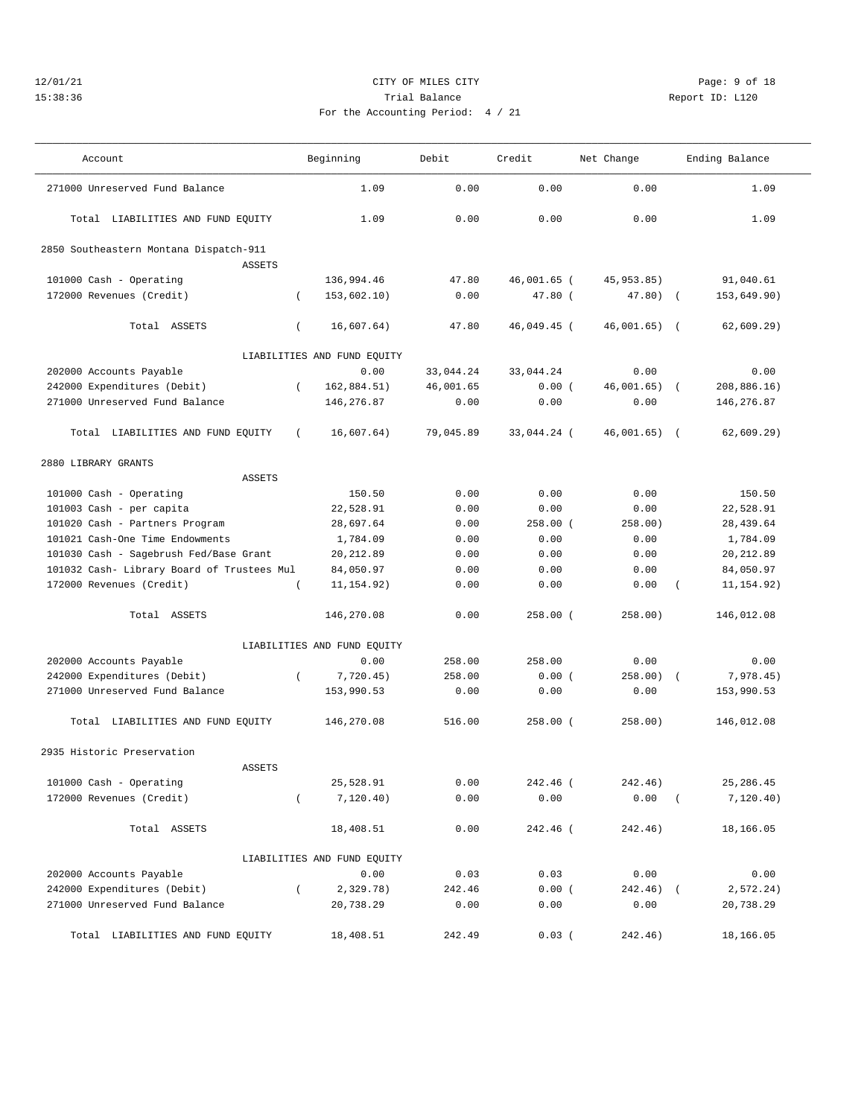#### 12/01/21 CITY OF MILES CITY Page: 9 of 18 15:38:36 Trial Balance Report ID: L120 For the Ac

———————————————————————————————————————————————————————————————————————————————————————————————————————————————————————————————————

| ccounting Period: 4 / 21 |  |  |  |
|--------------------------|--|--|--|

 Account Beginning Debit Credit Net Change Ending Balance ——————————————————————————————————————————————————————————————————————————————————————————————————————————————————————————————————— 271000 Unreserved Fund Balance 1.09 0.00 0.00 0.00 1.09 Total LIABILITIES AND FUND EQUITY 1.09 0.00 0.00 0.00 1.09

| 2850 Southeastern Montana Dispatch-911     |          |                             |           |             |               |            |             |
|--------------------------------------------|----------|-----------------------------|-----------|-------------|---------------|------------|-------------|
| <b>ASSETS</b>                              |          |                             |           |             |               |            |             |
| 101000 Cash - Operating                    |          | 136,994.46                  | 47.80     | 46,001.65 ( | 45,953.85)    |            | 91,040.61   |
| 172000 Revenues (Credit)                   | $\left($ | 153,602.10)                 | 0.00      | $47.80$ (   | $47.80$ ) (   |            | 153,649.90) |
|                                            |          |                             |           |             |               |            |             |
| Total ASSETS                               | $\left($ | 16,607.64)                  | 47.80     | 46,049.45 ( | 46,001.65) (  |            | 62,609.29)  |
|                                            |          | LIABILITIES AND FUND EQUITY |           |             |               |            |             |
| 202000 Accounts Payable                    |          | 0.00                        | 33,044.24 | 33,044.24   | 0.00          |            | 0.00        |
| 242000 Expenditures (Debit)                | $\left($ | 162,884.51)                 | 46,001.65 | 0.00(       | 46,001.65)    | $\sqrt{ }$ | 208,886.16) |
| 271000 Unreserved Fund Balance             |          | 146,276.87                  | 0.00      | 0.00        | 0.00          |            | 146, 276.87 |
| Total LIABILITIES AND FUND EQUITY          | $\left($ | 16,607.64)                  | 79,045.89 | 33,044.24 ( | $46,001.65$ ( |            | 62,609.29)  |
| 2880 LIBRARY GRANTS                        |          |                             |           |             |               |            |             |
| ASSETS                                     |          |                             |           |             |               |            |             |
| 101000 Cash - Operating                    |          | 150.50                      | 0.00      | 0.00        | 0.00          |            | 150.50      |
| 101003 Cash - per capita                   |          | 22,528.91                   | 0.00      | 0.00        | 0.00          |            | 22,528.91   |
| 101020 Cash - Partners Program             |          | 28,697.64                   | 0.00      | $258.00$ (  | 258.00)       |            | 28,439.64   |
| 101021 Cash-One Time Endowments            |          | 1,784.09                    | 0.00      | 0.00        | 0.00          |            | 1,784.09    |
| 101030 Cash - Sagebrush Fed/Base Grant     |          | 20, 212.89                  | 0.00      | 0.00        | 0.00          |            | 20, 212.89  |
| 101032 Cash- Library Board of Trustees Mul |          | 84,050.97                   | 0.00      | 0.00        | 0.00          |            | 84,050.97   |
| 172000 Revenues (Credit)                   | $\left($ | 11, 154.92)                 | 0.00      | 0.00        | 0.00          | $\left($   | 11, 154.92) |
| Total ASSETS                               |          | 146,270.08                  | 0.00      | $258.00$ (  | 258.00)       |            | 146,012.08  |
|                                            |          | LIABILITIES AND FUND EQUITY |           |             |               |            |             |
| 202000 Accounts Payable                    |          | 0.00                        | 258.00    | 258.00      | 0.00          |            | 0.00        |
| 242000 Expenditures (Debit)                | $\left($ | 7,720.45)                   | 258.00    | 0.00(       | $258.00$ (    |            | 7,978.45)   |
| 271000 Unreserved Fund Balance             |          | 153,990.53                  | 0.00      | 0.00        | 0.00          |            | 153,990.53  |
| Total LIABILITIES AND FUND EQUITY          |          | 146,270.08                  | 516.00    | $258.00$ (  | 258.00)       |            | 146,012.08  |
| 2935 Historic Preservation                 |          |                             |           |             |               |            |             |
| ASSETS                                     |          |                             |           |             |               |            |             |
| 101000 Cash - Operating                    |          | 25,528.91                   | 0.00      | 242.46 (    | 242.46)       |            | 25, 286.45  |
| 172000 Revenues (Credit)                   | $\left($ | 7,120.40)                   | 0.00      | 0.00        | 0.00          | $\left($   | 7,120.40)   |
| Total ASSETS                               |          | 18,408.51                   | 0.00      | 242.46 (    | 242.46)       |            | 18,166.05   |
|                                            |          | LIABILITIES AND FUND EQUITY |           |             |               |            |             |
| 202000 Accounts Payable                    |          | 0.00                        | 0.03      | 0.03        | 0.00          |            | 0.00        |
| 242000 Expenditures (Debit)                | $\left($ | 2,329.78)                   | 242.46    | 0.00(       | 242.46)       | $\sqrt{ }$ | 2, 572.24)  |
| 271000 Unreserved Fund Balance             |          | 20,738.29                   | 0.00      | 0.00        | 0.00          |            | 20,738.29   |
| Total LIABILITIES AND FUND EQUITY          |          | 18,408.51                   | 242.49    | 0.03(       | 242.46)       |            | 18,166.05   |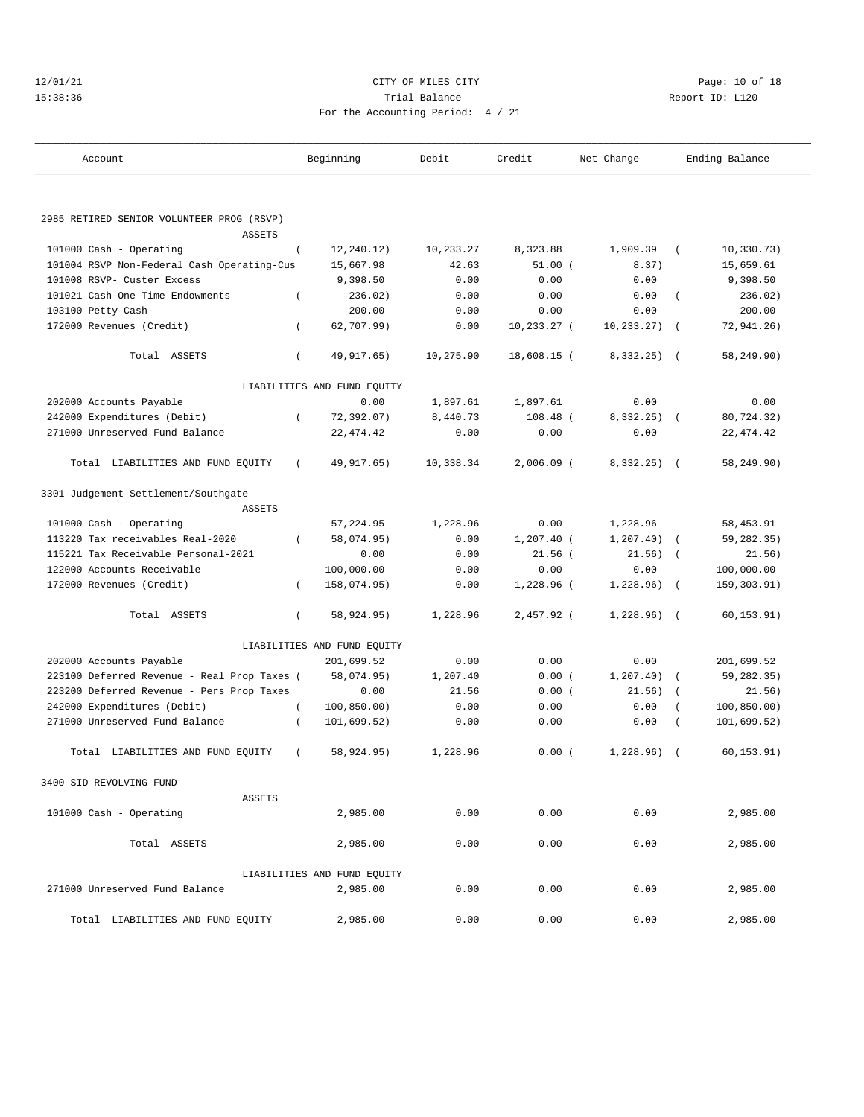| 12/01/21 |  |
|----------|--|
| 15:38:36 |  |

## CITY OF MILES CITY **Page: 10 of 18** 15:38:36 Trial Balance Report ID: L120 For the Accounting Period: 4 / 21

| Account                                                               | Beginning                   | Debit     | Credit       | Net Change   |            | Ending Balance |
|-----------------------------------------------------------------------|-----------------------------|-----------|--------------|--------------|------------|----------------|
|                                                                       |                             |           |              |              |            |                |
| 2985 RETIRED SENIOR VOLUNTEER PROG (RSVP)                             |                             |           |              |              |            |                |
| <b>ASSETS</b>                                                         | 12, 240.12)                 | 10,233.27 | 8,323.88     | 1,909.39     | $\left($   | 10, 330.73)    |
| 101000 Cash - Operating<br>101004 RSVP Non-Federal Cash Operating-Cus | $\left($<br>15,667.98       | 42.63     | 51.00(       | 8.37)        |            | 15,659.61      |
| 101008 RSVP- Custer Excess                                            | 9,398.50                    | 0.00      | 0.00         | 0.00         |            | 9,398.50       |
| 101021 Cash-One Time Endowments                                       | 236.02)<br>$\overline{ }$   | 0.00      | 0.00         | 0.00         | $\left($   | 236.02)        |
| 103100 Petty Cash-                                                    | 200.00                      | 0.00      | 0.00         | 0.00         |            | 200.00         |
| 172000 Revenues (Credit)                                              | 62,707.99)<br>$\left($      | 0.00      | 10,233.27 (  | 10,233.27)   | $\sqrt{2}$ | 72,941.26)     |
|                                                                       |                             |           |              |              |            |                |
| Total ASSETS                                                          | 49,917.65)<br>$\left($      | 10,275.90 | 18,608.15 (  | $8,332.25$ ( |            | 58,249.90)     |
|                                                                       | LIABILITIES AND FUND EQUITY |           |              |              |            |                |
| 202000 Accounts Payable                                               | 0.00                        | 1,897.61  | 1,897.61     | 0.00         |            | 0.00           |
| 242000 Expenditures (Debit)                                           | 72,392.07)<br>$\left($      | 8,440.73  | $108.48$ (   | $8,332.25$ ( |            | 80,724.32)     |
| 271000 Unreserved Fund Balance                                        | 22, 474.42                  | 0.00      | 0.00         | 0.00         |            | 22, 474.42     |
| Total LIABILITIES AND FUND EQUITY                                     | 49, 917.65)<br>$\left($     | 10,338.34 | $2,006.09$ ( | $8,332.25$ ( |            | 58,249.90)     |
| 3301 Judgement Settlement/Southgate                                   |                             |           |              |              |            |                |
| ASSETS                                                                |                             |           |              |              |            |                |
| 101000 Cash - Operating                                               | 57, 224.95                  | 1,228.96  | 0.00         | 1,228.96     |            | 58,453.91      |
| 113220 Tax receivables Real-2020                                      | 58,074.95)<br>$\left($      | 0.00      | $1,207.40$ ( | 1, 207.40)   |            | 59,282.35)     |
| 115221 Tax Receivable Personal-2021                                   | 0.00                        | 0.00      | $21.56$ (    | 21.56)       |            | 21.56)         |
| 122000 Accounts Receivable                                            | 100,000.00                  | 0.00      | 0.00         | 0.00         |            | 100,000.00     |
| 172000 Revenues (Credit)                                              | 158,074.95)<br>$\left($     | 0.00      | 1,228.96 (   | 1,228.96)    | $\sqrt{2}$ | 159,303.91)    |
| Total ASSETS                                                          | 58,924.95)<br>$\left($      | 1,228.96  | 2,457.92 (   | $1,228.96$ ( |            | 60, 153.91)    |
|                                                                       | LIABILITIES AND FUND EQUITY |           |              |              |            |                |
| 202000 Accounts Payable                                               | 201,699.52                  | 0.00      | 0.00         | 0.00         |            | 201,699.52     |
| 223100 Deferred Revenue - Real Prop Taxes (                           | 58,074.95)                  | 1,207.40  | 0.00(        | 1, 207.40)   |            | 59,282.35)     |
| 223200 Deferred Revenue - Pers Prop Taxes                             | 0.00                        | 21.56     | 0.00(        | 21.56)       |            | 21.56)         |
| 242000 Expenditures (Debit)                                           | 100, 850.00)<br>$\left($    | 0.00      | 0.00         | 0.00         |            | 100, 850.00)   |
| 271000 Unreserved Fund Balance                                        | $\left($<br>101,699.52)     | 0.00      | 0.00         | 0.00         |            | 101,699.52)    |
| Total LIABILITIES AND FUND EQUITY                                     | 58,924.95)<br>$\left($      | 1,228.96  | 0.00(        | 1,228.96)    | $\sqrt{2}$ | 60, 153.91)    |
| 3400 SID REVOLVING FUND                                               |                             |           |              |              |            |                |
| ASSETS                                                                |                             |           |              |              |            |                |
| 101000 Cash - Operating                                               | 2,985.00                    | 0.00      | 0.00         | 0.00         |            | 2,985.00       |
| Total ASSETS                                                          | 2,985.00                    | 0.00      | 0.00         | 0.00         |            | 2,985.00       |
|                                                                       | LIABILITIES AND FUND EQUITY |           |              |              |            |                |
| 271000 Unreserved Fund Balance                                        | 2,985.00                    | 0.00      | 0.00         | 0.00         |            | 2,985.00       |
| Total LIABILITIES AND FUND EQUITY                                     | 2,985.00                    | 0.00      | 0.00         | 0.00         |            | 2,985.00       |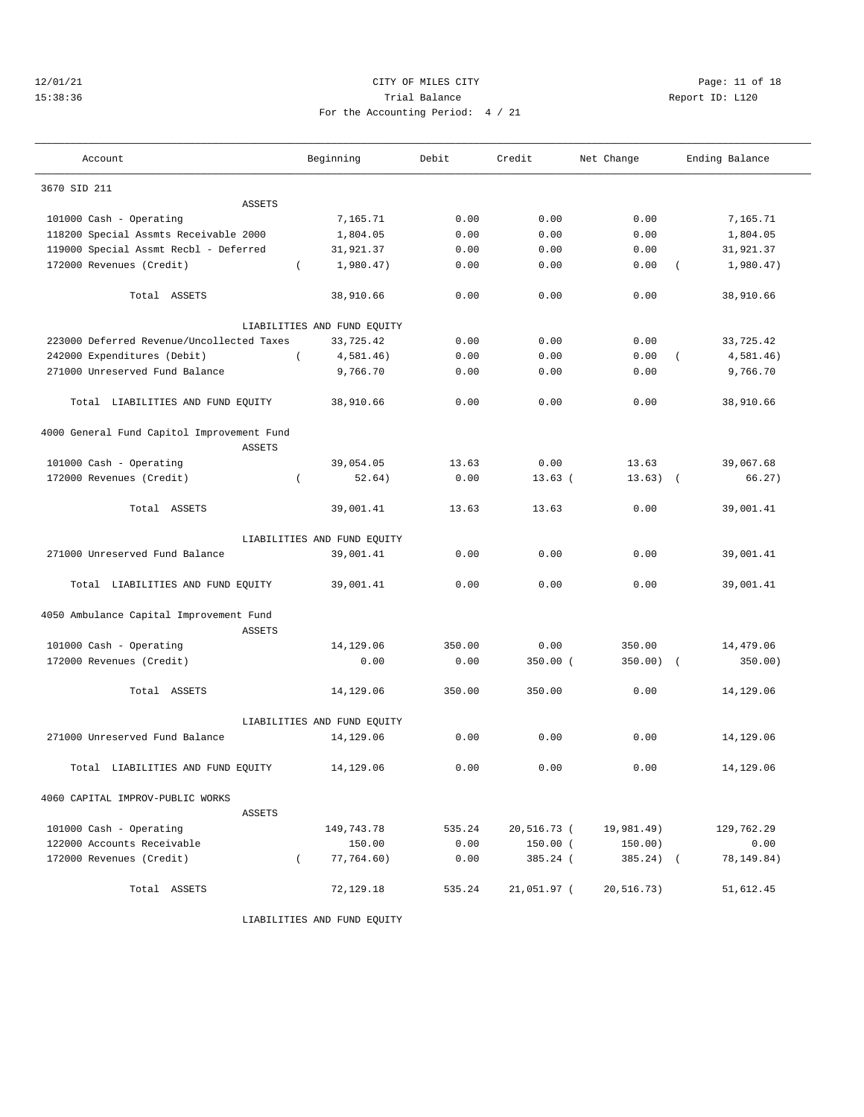## 12/01/21 Page: 11 of 18 15:38:36 Trial Balance Report ID: L120 For the Accounting Period: 4 / 21

| Account                                                  |          | Beginning                   | Debit  | Credit      | Net Change  |                | Ending Balance |
|----------------------------------------------------------|----------|-----------------------------|--------|-------------|-------------|----------------|----------------|
| 3670 SID 211                                             |          |                             |        |             |             |                |                |
| <b>ASSETS</b>                                            |          |                             |        |             |             |                |                |
| 101000 Cash - Operating                                  |          | 7,165.71                    | 0.00   | 0.00        | 0.00        |                | 7,165.71       |
| 118200 Special Assmts Receivable 2000                    |          | 1,804.05                    | 0.00   | 0.00        | 0.00        |                | 1,804.05       |
| 119000 Special Assmt Recbl - Deferred                    |          | 31,921.37                   | 0.00   | 0.00        | 0.00        |                | 31,921.37      |
| 172000 Revenues (Credit)                                 | $\left($ | 1,980.47)                   | 0.00   | 0.00        | 0.00        | $\left($       | 1,980.47)      |
| Total ASSETS                                             |          | 38,910.66                   | 0.00   | 0.00        | 0.00        |                | 38,910.66      |
|                                                          |          | LIABILITIES AND FUND EQUITY |        |             |             |                |                |
| 223000 Deferred Revenue/Uncollected Taxes                |          | 33,725.42                   | 0.00   | 0.00        | 0.00        |                | 33,725.42      |
| 242000 Expenditures (Debit)                              | $\left($ | 4,581.46)                   | 0.00   | 0.00        | 0.00        | $\overline{ }$ | 4,581.46)      |
| 271000 Unreserved Fund Balance                           |          | 9,766.70                    | 0.00   | 0.00        | 0.00        |                | 9,766.70       |
| Total LIABILITIES AND FUND EQUITY                        |          | 38,910.66                   | 0.00   | 0.00        | 0.00        |                | 38,910.66      |
| 4000 General Fund Capitol Improvement Fund               |          |                             |        |             |             |                |                |
| <b>ASSETS</b>                                            |          |                             |        |             |             |                |                |
| 101000 Cash - Operating                                  |          | 39,054.05                   | 13.63  | 0.00        | 13.63       |                | 39,067.68      |
| 172000 Revenues (Credit)                                 | $\left($ | 52.64)                      | 0.00   | $13.63$ (   | 13.63)      | $\sqrt{ }$     | 66.27)         |
| Total ASSETS                                             |          | 39,001.41                   | 13.63  | 13.63       | 0.00        |                | 39,001.41      |
|                                                          |          | LIABILITIES AND FUND EQUITY |        |             |             |                |                |
| 271000 Unreserved Fund Balance                           |          | 39,001.41                   | 0.00   | 0.00        | 0.00        |                | 39,001.41      |
| Total LIABILITIES AND FUND EQUITY                        |          | 39,001.41                   | 0.00   | 0.00        | 0.00        |                | 39,001.41      |
| 4050 Ambulance Capital Improvement Fund<br><b>ASSETS</b> |          |                             |        |             |             |                |                |
| 101000 Cash - Operating                                  |          | 14,129.06                   | 350.00 | 0.00        | 350.00      |                | 14,479.06      |
| 172000 Revenues (Credit)                                 |          | 0.00                        | 0.00   | $350.00$ (  | 350.00)     | $\sqrt{2}$     | 350.00)        |
|                                                          |          |                             |        |             |             |                |                |
| Total ASSETS                                             |          | 14,129.06                   | 350.00 | 350.00      | 0.00        |                | 14,129.06      |
|                                                          |          | LIABILITIES AND FUND EQUITY |        |             |             |                |                |
| 271000 Unreserved Fund Balance                           |          | 14,129.06                   | 0.00   | 0.00        | 0.00        |                | 14,129.06      |
| Total LIABILITIES AND FUND EQUITY                        |          | 14,129.06                   | 0.00   | 0.00        | 0.00        |                | 14,129.06      |
| 4060 CAPITAL IMPROV-PUBLIC WORKS<br>ASSETS               |          |                             |        |             |             |                |                |
| 101000 Cash - Operating                                  |          | 149,743.78                  | 535.24 | 20,516.73 ( | 19,981.49)  |                | 129,762.29     |
| 122000 Accounts Receivable                               |          | 150.00                      | 0.00   | $150.00$ (  | 150.00)     |                | 0.00           |
| 172000 Revenues (Credit)                                 | $\left($ | 77,764.60)                  | 0.00   | 385.24 (    | $385.24)$ ( |                | 78,149.84)     |
|                                                          |          |                             |        |             |             |                |                |
| Total ASSETS                                             |          | 72,129.18                   | 535.24 | 21,051.97 ( | 20,516.73)  |                | 51,612.45      |

LIABILITIES AND FUND EQUITY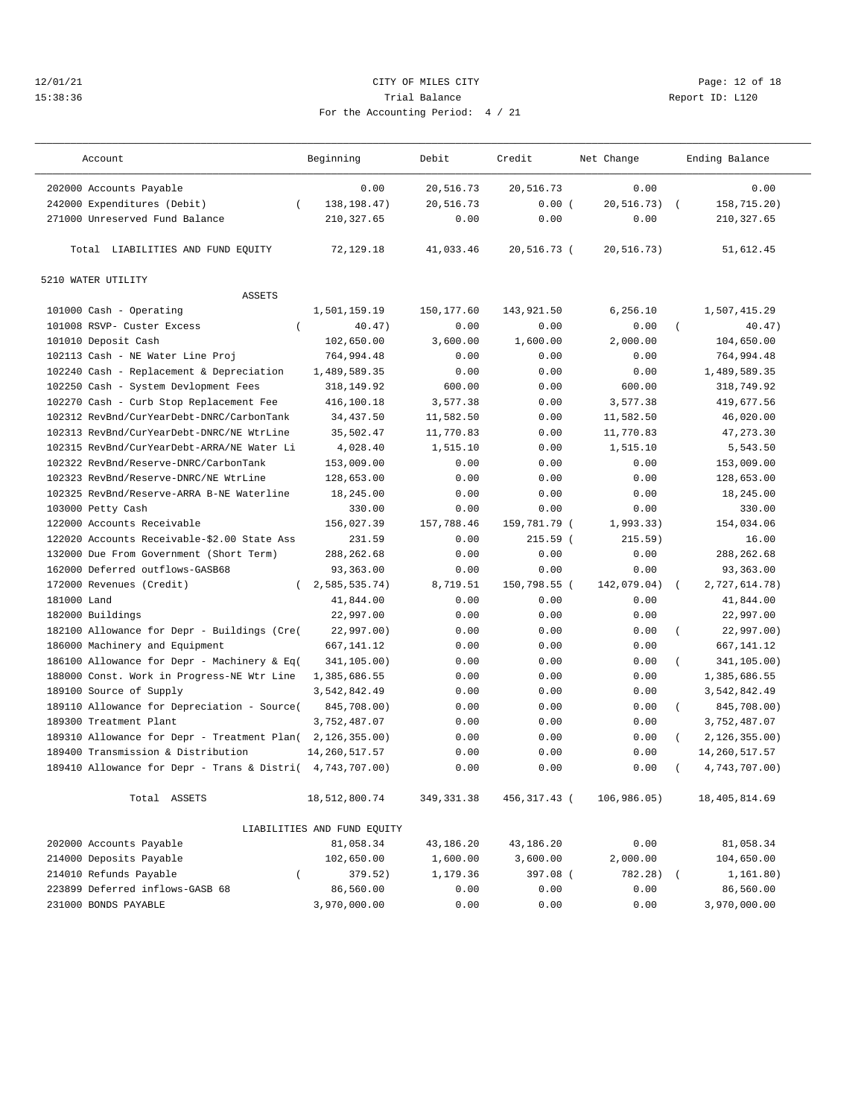## 12/01/21 **CITY OF MILES CITY CITY CITY Page: 12 of 18** 15:38:36 Trial Balance Report ID: L120 For the Accounting Period: 4 / 21

| 0.00<br>202000 Accounts Payable<br>0.00<br>20,516.73<br>20,516.73<br>0.00<br>138, 198. 47)<br>158,715.20)<br>242000 Expenditures (Debit)<br>20,516.73<br>0.00(<br>20,516.73)<br>$\left($<br>271000 Unreserved Fund Balance<br>210, 327.65<br>0.00<br>0.00<br>0.00<br>210, 327.65<br>Total LIABILITIES AND FUND EQUITY<br>72,129.18<br>41,033.46<br>20,516.73 (<br>20, 516.73)<br>51,612.45<br>5210 WATER UTILITY<br><b>ASSETS</b><br>101000 Cash - Operating<br>1,501,159.19<br>150, 177.60<br>143,921.50<br>6, 256.10<br>1,507,415.29<br>101008 RSVP- Custer Excess<br>0.00<br>0.00<br>40.47)<br>40.47)<br>0.00<br>$\left($<br>$\left($<br>2,000.00<br>101010 Deposit Cash<br>102,650.00<br>3,600.00<br>1,600.00<br>104,650.00<br>764,994.48<br>764,994.48<br>102113 Cash - NE Water Line Proj<br>0.00<br>0.00<br>0.00<br>102240 Cash - Replacement & Depreciation<br>1,489,589.35<br>0.00<br>0.00<br>0.00<br>1,489,589.35<br>600.00<br>102250 Cash - System Devlopment Fees<br>318,149.92<br>600.00<br>0.00<br>318,749.92<br>102270 Cash - Curb Stop Replacement Fee<br>416,100.18<br>3,577.38<br>0.00<br>3,577.38<br>419,677.56<br>11,582.50<br>102312 RevBnd/CurYearDebt-DNRC/CarbonTank<br>34, 437.50<br>11,582.50<br>0.00<br>46,020.00<br>11,770.83<br>11,770.83<br>35,502.47<br>0.00<br>47, 273.30<br>102313 RevBnd/CurYearDebt-DNRC/NE WtrLine<br>102315 RevBnd/CurYearDebt-ARRA/NE Water Li<br>4,028.40<br>1,515.10<br>0.00<br>1,515.10<br>5,543.50<br>102322 RevBnd/Reserve-DNRC/CarbonTank<br>153,009.00<br>0.00<br>0.00<br>0.00<br>153,009.00<br>102323 RevBnd/Reserve-DNRC/NE WtrLine<br>128,653.00<br>0.00<br>0.00<br>0.00<br>128,653.00<br>102325 RevBnd/Reserve-ARRA B-NE Waterline<br>18,245.00<br>0.00<br>0.00<br>0.00<br>18,245.00<br>103000 Petty Cash<br>330.00<br>0.00<br>0.00<br>0.00<br>330.00<br>122000 Accounts Receivable<br>156,027.39<br>157,788.46<br>159,781.79 (<br>1,993,33)<br>154,034.06<br>122020 Accounts Receivable-\$2.00 State Ass<br>231.59<br>0.00<br>$215.59$ (<br>215.59)<br>16.00<br>132000 Due From Government (Short Term)<br>288, 262.68<br>0.00<br>0.00<br>0.00<br>288, 262.68<br>162000 Deferred outflows-GASB68<br>93,363.00<br>0.00<br>0.00<br>0.00<br>93,363.00<br>2,585,535.74)<br>142,079.04)<br>172000 Revenues (Credit)<br>8,719.51<br>150,798.55 (<br>2,727,614.78)<br>$\left($<br>$\left($<br>181000 Land<br>41,844.00<br>0.00<br>0.00<br>0.00<br>41,844.00<br>182000 Buildings<br>22,997.00<br>0.00<br>0.00<br>0.00<br>22,997.00<br>182100 Allowance for Depr - Buildings (Cre(<br>22,997.00)<br>0.00<br>0.00<br>0.00<br>22,997.00)<br>$\left($<br>186000 Machinery and Equipment<br>667,141.12<br>0.00<br>0.00<br>667, 141. 12<br>0.00<br>341,105.00)<br>186100 Allowance for Depr - Machinery & Eq(<br>341,105.00)<br>0.00<br>0.00<br>0.00<br>$\overline{(\ }$<br>188000 Const. Work in Progress-NE Wtr Line<br>1,385,686.55<br>0.00<br>0.00<br>0.00<br>1,385,686.55<br>189100 Source of Supply<br>3,542,842.49<br>0.00<br>0.00<br>0.00<br>3,542,842.49<br>189110 Allowance for Depreciation - Source(<br>845,708.00)<br>0.00<br>0.00<br>0.00<br>845,708.00)<br><sup>-</sup><br>189300 Treatment Plant<br>3,752,487.07<br>0.00<br>0.00<br>0.00<br>3,752,487.07<br>189310 Allowance for Depr - Treatment Plan(<br>2, 126, 355.00<br>0.00<br>0.00<br>2, 126, 355.00)<br>0.00<br>$\left($<br>189400 Transmission & Distribution<br>14, 260, 517.57<br>0.00<br>0.00<br>0.00<br>14, 260, 517.57<br>189410 Allowance for Depr - Trans & Distri(<br>4,743,707.00)<br>0.00<br>0.00<br>0.00<br>4,743,707.00)<br>Total ASSETS<br>18,512,800.74<br>349, 331.38<br>456,317.43 (<br>106,986.05)<br>18, 405, 814.69<br>LIABILITIES AND FUND EQUITY<br>202000 Accounts Payable<br>81,058.34<br>43,186.20<br>0.00<br>81,058.34<br>43,186.20<br>214000 Deposits Payable<br>102,650.00<br>3,600.00<br>2,000.00<br>104,650.00<br>1,600.00<br>214010 Refunds Payable<br>379.52)<br>397.08 (<br>782.28) (<br>$\left($<br>1,179.36<br>1, 161.80)<br>223899 Deferred inflows-GASB 68<br>86,560.00<br>0.00<br>86,560.00<br>0.00<br>0.00<br>231000 BONDS PAYABLE<br>3,970,000.00<br>0.00<br>0.00<br>0.00<br>3,970,000.00 | Account | Beginning | Debit | Credit | Net Change | Ending Balance |
|---------------------------------------------------------------------------------------------------------------------------------------------------------------------------------------------------------------------------------------------------------------------------------------------------------------------------------------------------------------------------------------------------------------------------------------------------------------------------------------------------------------------------------------------------------------------------------------------------------------------------------------------------------------------------------------------------------------------------------------------------------------------------------------------------------------------------------------------------------------------------------------------------------------------------------------------------------------------------------------------------------------------------------------------------------------------------------------------------------------------------------------------------------------------------------------------------------------------------------------------------------------------------------------------------------------------------------------------------------------------------------------------------------------------------------------------------------------------------------------------------------------------------------------------------------------------------------------------------------------------------------------------------------------------------------------------------------------------------------------------------------------------------------------------------------------------------------------------------------------------------------------------------------------------------------------------------------------------------------------------------------------------------------------------------------------------------------------------------------------------------------------------------------------------------------------------------------------------------------------------------------------------------------------------------------------------------------------------------------------------------------------------------------------------------------------------------------------------------------------------------------------------------------------------------------------------------------------------------------------------------------------------------------------------------------------------------------------------------------------------------------------------------------------------------------------------------------------------------------------------------------------------------------------------------------------------------------------------------------------------------------------------------------------------------------------------------------------------------------------------------------------------------------------------------------------------------------------------------------------------------------------------------------------------------------------------------------------------------------------------------------------------------------------------------------------------------------------------------------------------------------------------------------------------------------------------------------------------------------------------------------------------------------------------------------------------------------------------------------------------------------------------------------------------------------------------------------------------------------------------------------------------------------------------------------------------------------------------------------------------------------------------------------------------------------------------------------------------------------------------------------------------------------------|---------|-----------|-------|--------|------------|----------------|
|                                                                                                                                                                                                                                                                                                                                                                                                                                                                                                                                                                                                                                                                                                                                                                                                                                                                                                                                                                                                                                                                                                                                                                                                                                                                                                                                                                                                                                                                                                                                                                                                                                                                                                                                                                                                                                                                                                                                                                                                                                                                                                                                                                                                                                                                                                                                                                                                                                                                                                                                                                                                                                                                                                                                                                                                                                                                                                                                                                                                                                                                                                                                                                                                                                                                                                                                                                                                                                                                                                                                                                                                                                                                                                                                                                                                                                                                                                                                                                                                                                                                                                                                                               |         |           |       |        |            |                |
|                                                                                                                                                                                                                                                                                                                                                                                                                                                                                                                                                                                                                                                                                                                                                                                                                                                                                                                                                                                                                                                                                                                                                                                                                                                                                                                                                                                                                                                                                                                                                                                                                                                                                                                                                                                                                                                                                                                                                                                                                                                                                                                                                                                                                                                                                                                                                                                                                                                                                                                                                                                                                                                                                                                                                                                                                                                                                                                                                                                                                                                                                                                                                                                                                                                                                                                                                                                                                                                                                                                                                                                                                                                                                                                                                                                                                                                                                                                                                                                                                                                                                                                                                               |         |           |       |        |            |                |
|                                                                                                                                                                                                                                                                                                                                                                                                                                                                                                                                                                                                                                                                                                                                                                                                                                                                                                                                                                                                                                                                                                                                                                                                                                                                                                                                                                                                                                                                                                                                                                                                                                                                                                                                                                                                                                                                                                                                                                                                                                                                                                                                                                                                                                                                                                                                                                                                                                                                                                                                                                                                                                                                                                                                                                                                                                                                                                                                                                                                                                                                                                                                                                                                                                                                                                                                                                                                                                                                                                                                                                                                                                                                                                                                                                                                                                                                                                                                                                                                                                                                                                                                                               |         |           |       |        |            |                |
|                                                                                                                                                                                                                                                                                                                                                                                                                                                                                                                                                                                                                                                                                                                                                                                                                                                                                                                                                                                                                                                                                                                                                                                                                                                                                                                                                                                                                                                                                                                                                                                                                                                                                                                                                                                                                                                                                                                                                                                                                                                                                                                                                                                                                                                                                                                                                                                                                                                                                                                                                                                                                                                                                                                                                                                                                                                                                                                                                                                                                                                                                                                                                                                                                                                                                                                                                                                                                                                                                                                                                                                                                                                                                                                                                                                                                                                                                                                                                                                                                                                                                                                                                               |         |           |       |        |            |                |
|                                                                                                                                                                                                                                                                                                                                                                                                                                                                                                                                                                                                                                                                                                                                                                                                                                                                                                                                                                                                                                                                                                                                                                                                                                                                                                                                                                                                                                                                                                                                                                                                                                                                                                                                                                                                                                                                                                                                                                                                                                                                                                                                                                                                                                                                                                                                                                                                                                                                                                                                                                                                                                                                                                                                                                                                                                                                                                                                                                                                                                                                                                                                                                                                                                                                                                                                                                                                                                                                                                                                                                                                                                                                                                                                                                                                                                                                                                                                                                                                                                                                                                                                                               |         |           |       |        |            |                |
|                                                                                                                                                                                                                                                                                                                                                                                                                                                                                                                                                                                                                                                                                                                                                                                                                                                                                                                                                                                                                                                                                                                                                                                                                                                                                                                                                                                                                                                                                                                                                                                                                                                                                                                                                                                                                                                                                                                                                                                                                                                                                                                                                                                                                                                                                                                                                                                                                                                                                                                                                                                                                                                                                                                                                                                                                                                                                                                                                                                                                                                                                                                                                                                                                                                                                                                                                                                                                                                                                                                                                                                                                                                                                                                                                                                                                                                                                                                                                                                                                                                                                                                                                               |         |           |       |        |            |                |
|                                                                                                                                                                                                                                                                                                                                                                                                                                                                                                                                                                                                                                                                                                                                                                                                                                                                                                                                                                                                                                                                                                                                                                                                                                                                                                                                                                                                                                                                                                                                                                                                                                                                                                                                                                                                                                                                                                                                                                                                                                                                                                                                                                                                                                                                                                                                                                                                                                                                                                                                                                                                                                                                                                                                                                                                                                                                                                                                                                                                                                                                                                                                                                                                                                                                                                                                                                                                                                                                                                                                                                                                                                                                                                                                                                                                                                                                                                                                                                                                                                                                                                                                                               |         |           |       |        |            |                |
|                                                                                                                                                                                                                                                                                                                                                                                                                                                                                                                                                                                                                                                                                                                                                                                                                                                                                                                                                                                                                                                                                                                                                                                                                                                                                                                                                                                                                                                                                                                                                                                                                                                                                                                                                                                                                                                                                                                                                                                                                                                                                                                                                                                                                                                                                                                                                                                                                                                                                                                                                                                                                                                                                                                                                                                                                                                                                                                                                                                                                                                                                                                                                                                                                                                                                                                                                                                                                                                                                                                                                                                                                                                                                                                                                                                                                                                                                                                                                                                                                                                                                                                                                               |         |           |       |        |            |                |
|                                                                                                                                                                                                                                                                                                                                                                                                                                                                                                                                                                                                                                                                                                                                                                                                                                                                                                                                                                                                                                                                                                                                                                                                                                                                                                                                                                                                                                                                                                                                                                                                                                                                                                                                                                                                                                                                                                                                                                                                                                                                                                                                                                                                                                                                                                                                                                                                                                                                                                                                                                                                                                                                                                                                                                                                                                                                                                                                                                                                                                                                                                                                                                                                                                                                                                                                                                                                                                                                                                                                                                                                                                                                                                                                                                                                                                                                                                                                                                                                                                                                                                                                                               |         |           |       |        |            |                |
|                                                                                                                                                                                                                                                                                                                                                                                                                                                                                                                                                                                                                                                                                                                                                                                                                                                                                                                                                                                                                                                                                                                                                                                                                                                                                                                                                                                                                                                                                                                                                                                                                                                                                                                                                                                                                                                                                                                                                                                                                                                                                                                                                                                                                                                                                                                                                                                                                                                                                                                                                                                                                                                                                                                                                                                                                                                                                                                                                                                                                                                                                                                                                                                                                                                                                                                                                                                                                                                                                                                                                                                                                                                                                                                                                                                                                                                                                                                                                                                                                                                                                                                                                               |         |           |       |        |            |                |
|                                                                                                                                                                                                                                                                                                                                                                                                                                                                                                                                                                                                                                                                                                                                                                                                                                                                                                                                                                                                                                                                                                                                                                                                                                                                                                                                                                                                                                                                                                                                                                                                                                                                                                                                                                                                                                                                                                                                                                                                                                                                                                                                                                                                                                                                                                                                                                                                                                                                                                                                                                                                                                                                                                                                                                                                                                                                                                                                                                                                                                                                                                                                                                                                                                                                                                                                                                                                                                                                                                                                                                                                                                                                                                                                                                                                                                                                                                                                                                                                                                                                                                                                                               |         |           |       |        |            |                |
|                                                                                                                                                                                                                                                                                                                                                                                                                                                                                                                                                                                                                                                                                                                                                                                                                                                                                                                                                                                                                                                                                                                                                                                                                                                                                                                                                                                                                                                                                                                                                                                                                                                                                                                                                                                                                                                                                                                                                                                                                                                                                                                                                                                                                                                                                                                                                                                                                                                                                                                                                                                                                                                                                                                                                                                                                                                                                                                                                                                                                                                                                                                                                                                                                                                                                                                                                                                                                                                                                                                                                                                                                                                                                                                                                                                                                                                                                                                                                                                                                                                                                                                                                               |         |           |       |        |            |                |
|                                                                                                                                                                                                                                                                                                                                                                                                                                                                                                                                                                                                                                                                                                                                                                                                                                                                                                                                                                                                                                                                                                                                                                                                                                                                                                                                                                                                                                                                                                                                                                                                                                                                                                                                                                                                                                                                                                                                                                                                                                                                                                                                                                                                                                                                                                                                                                                                                                                                                                                                                                                                                                                                                                                                                                                                                                                                                                                                                                                                                                                                                                                                                                                                                                                                                                                                                                                                                                                                                                                                                                                                                                                                                                                                                                                                                                                                                                                                                                                                                                                                                                                                                               |         |           |       |        |            |                |
|                                                                                                                                                                                                                                                                                                                                                                                                                                                                                                                                                                                                                                                                                                                                                                                                                                                                                                                                                                                                                                                                                                                                                                                                                                                                                                                                                                                                                                                                                                                                                                                                                                                                                                                                                                                                                                                                                                                                                                                                                                                                                                                                                                                                                                                                                                                                                                                                                                                                                                                                                                                                                                                                                                                                                                                                                                                                                                                                                                                                                                                                                                                                                                                                                                                                                                                                                                                                                                                                                                                                                                                                                                                                                                                                                                                                                                                                                                                                                                                                                                                                                                                                                               |         |           |       |        |            |                |
|                                                                                                                                                                                                                                                                                                                                                                                                                                                                                                                                                                                                                                                                                                                                                                                                                                                                                                                                                                                                                                                                                                                                                                                                                                                                                                                                                                                                                                                                                                                                                                                                                                                                                                                                                                                                                                                                                                                                                                                                                                                                                                                                                                                                                                                                                                                                                                                                                                                                                                                                                                                                                                                                                                                                                                                                                                                                                                                                                                                                                                                                                                                                                                                                                                                                                                                                                                                                                                                                                                                                                                                                                                                                                                                                                                                                                                                                                                                                                                                                                                                                                                                                                               |         |           |       |        |            |                |
|                                                                                                                                                                                                                                                                                                                                                                                                                                                                                                                                                                                                                                                                                                                                                                                                                                                                                                                                                                                                                                                                                                                                                                                                                                                                                                                                                                                                                                                                                                                                                                                                                                                                                                                                                                                                                                                                                                                                                                                                                                                                                                                                                                                                                                                                                                                                                                                                                                                                                                                                                                                                                                                                                                                                                                                                                                                                                                                                                                                                                                                                                                                                                                                                                                                                                                                                                                                                                                                                                                                                                                                                                                                                                                                                                                                                                                                                                                                                                                                                                                                                                                                                                               |         |           |       |        |            |                |
|                                                                                                                                                                                                                                                                                                                                                                                                                                                                                                                                                                                                                                                                                                                                                                                                                                                                                                                                                                                                                                                                                                                                                                                                                                                                                                                                                                                                                                                                                                                                                                                                                                                                                                                                                                                                                                                                                                                                                                                                                                                                                                                                                                                                                                                                                                                                                                                                                                                                                                                                                                                                                                                                                                                                                                                                                                                                                                                                                                                                                                                                                                                                                                                                                                                                                                                                                                                                                                                                                                                                                                                                                                                                                                                                                                                                                                                                                                                                                                                                                                                                                                                                                               |         |           |       |        |            |                |
|                                                                                                                                                                                                                                                                                                                                                                                                                                                                                                                                                                                                                                                                                                                                                                                                                                                                                                                                                                                                                                                                                                                                                                                                                                                                                                                                                                                                                                                                                                                                                                                                                                                                                                                                                                                                                                                                                                                                                                                                                                                                                                                                                                                                                                                                                                                                                                                                                                                                                                                                                                                                                                                                                                                                                                                                                                                                                                                                                                                                                                                                                                                                                                                                                                                                                                                                                                                                                                                                                                                                                                                                                                                                                                                                                                                                                                                                                                                                                                                                                                                                                                                                                               |         |           |       |        |            |                |
|                                                                                                                                                                                                                                                                                                                                                                                                                                                                                                                                                                                                                                                                                                                                                                                                                                                                                                                                                                                                                                                                                                                                                                                                                                                                                                                                                                                                                                                                                                                                                                                                                                                                                                                                                                                                                                                                                                                                                                                                                                                                                                                                                                                                                                                                                                                                                                                                                                                                                                                                                                                                                                                                                                                                                                                                                                                                                                                                                                                                                                                                                                                                                                                                                                                                                                                                                                                                                                                                                                                                                                                                                                                                                                                                                                                                                                                                                                                                                                                                                                                                                                                                                               |         |           |       |        |            |                |
|                                                                                                                                                                                                                                                                                                                                                                                                                                                                                                                                                                                                                                                                                                                                                                                                                                                                                                                                                                                                                                                                                                                                                                                                                                                                                                                                                                                                                                                                                                                                                                                                                                                                                                                                                                                                                                                                                                                                                                                                                                                                                                                                                                                                                                                                                                                                                                                                                                                                                                                                                                                                                                                                                                                                                                                                                                                                                                                                                                                                                                                                                                                                                                                                                                                                                                                                                                                                                                                                                                                                                                                                                                                                                                                                                                                                                                                                                                                                                                                                                                                                                                                                                               |         |           |       |        |            |                |
|                                                                                                                                                                                                                                                                                                                                                                                                                                                                                                                                                                                                                                                                                                                                                                                                                                                                                                                                                                                                                                                                                                                                                                                                                                                                                                                                                                                                                                                                                                                                                                                                                                                                                                                                                                                                                                                                                                                                                                                                                                                                                                                                                                                                                                                                                                                                                                                                                                                                                                                                                                                                                                                                                                                                                                                                                                                                                                                                                                                                                                                                                                                                                                                                                                                                                                                                                                                                                                                                                                                                                                                                                                                                                                                                                                                                                                                                                                                                                                                                                                                                                                                                                               |         |           |       |        |            |                |
|                                                                                                                                                                                                                                                                                                                                                                                                                                                                                                                                                                                                                                                                                                                                                                                                                                                                                                                                                                                                                                                                                                                                                                                                                                                                                                                                                                                                                                                                                                                                                                                                                                                                                                                                                                                                                                                                                                                                                                                                                                                                                                                                                                                                                                                                                                                                                                                                                                                                                                                                                                                                                                                                                                                                                                                                                                                                                                                                                                                                                                                                                                                                                                                                                                                                                                                                                                                                                                                                                                                                                                                                                                                                                                                                                                                                                                                                                                                                                                                                                                                                                                                                                               |         |           |       |        |            |                |
|                                                                                                                                                                                                                                                                                                                                                                                                                                                                                                                                                                                                                                                                                                                                                                                                                                                                                                                                                                                                                                                                                                                                                                                                                                                                                                                                                                                                                                                                                                                                                                                                                                                                                                                                                                                                                                                                                                                                                                                                                                                                                                                                                                                                                                                                                                                                                                                                                                                                                                                                                                                                                                                                                                                                                                                                                                                                                                                                                                                                                                                                                                                                                                                                                                                                                                                                                                                                                                                                                                                                                                                                                                                                                                                                                                                                                                                                                                                                                                                                                                                                                                                                                               |         |           |       |        |            |                |
|                                                                                                                                                                                                                                                                                                                                                                                                                                                                                                                                                                                                                                                                                                                                                                                                                                                                                                                                                                                                                                                                                                                                                                                                                                                                                                                                                                                                                                                                                                                                                                                                                                                                                                                                                                                                                                                                                                                                                                                                                                                                                                                                                                                                                                                                                                                                                                                                                                                                                                                                                                                                                                                                                                                                                                                                                                                                                                                                                                                                                                                                                                                                                                                                                                                                                                                                                                                                                                                                                                                                                                                                                                                                                                                                                                                                                                                                                                                                                                                                                                                                                                                                                               |         |           |       |        |            |                |
|                                                                                                                                                                                                                                                                                                                                                                                                                                                                                                                                                                                                                                                                                                                                                                                                                                                                                                                                                                                                                                                                                                                                                                                                                                                                                                                                                                                                                                                                                                                                                                                                                                                                                                                                                                                                                                                                                                                                                                                                                                                                                                                                                                                                                                                                                                                                                                                                                                                                                                                                                                                                                                                                                                                                                                                                                                                                                                                                                                                                                                                                                                                                                                                                                                                                                                                                                                                                                                                                                                                                                                                                                                                                                                                                                                                                                                                                                                                                                                                                                                                                                                                                                               |         |           |       |        |            |                |
|                                                                                                                                                                                                                                                                                                                                                                                                                                                                                                                                                                                                                                                                                                                                                                                                                                                                                                                                                                                                                                                                                                                                                                                                                                                                                                                                                                                                                                                                                                                                                                                                                                                                                                                                                                                                                                                                                                                                                                                                                                                                                                                                                                                                                                                                                                                                                                                                                                                                                                                                                                                                                                                                                                                                                                                                                                                                                                                                                                                                                                                                                                                                                                                                                                                                                                                                                                                                                                                                                                                                                                                                                                                                                                                                                                                                                                                                                                                                                                                                                                                                                                                                                               |         |           |       |        |            |                |
|                                                                                                                                                                                                                                                                                                                                                                                                                                                                                                                                                                                                                                                                                                                                                                                                                                                                                                                                                                                                                                                                                                                                                                                                                                                                                                                                                                                                                                                                                                                                                                                                                                                                                                                                                                                                                                                                                                                                                                                                                                                                                                                                                                                                                                                                                                                                                                                                                                                                                                                                                                                                                                                                                                                                                                                                                                                                                                                                                                                                                                                                                                                                                                                                                                                                                                                                                                                                                                                                                                                                                                                                                                                                                                                                                                                                                                                                                                                                                                                                                                                                                                                                                               |         |           |       |        |            |                |
|                                                                                                                                                                                                                                                                                                                                                                                                                                                                                                                                                                                                                                                                                                                                                                                                                                                                                                                                                                                                                                                                                                                                                                                                                                                                                                                                                                                                                                                                                                                                                                                                                                                                                                                                                                                                                                                                                                                                                                                                                                                                                                                                                                                                                                                                                                                                                                                                                                                                                                                                                                                                                                                                                                                                                                                                                                                                                                                                                                                                                                                                                                                                                                                                                                                                                                                                                                                                                                                                                                                                                                                                                                                                                                                                                                                                                                                                                                                                                                                                                                                                                                                                                               |         |           |       |        |            |                |
|                                                                                                                                                                                                                                                                                                                                                                                                                                                                                                                                                                                                                                                                                                                                                                                                                                                                                                                                                                                                                                                                                                                                                                                                                                                                                                                                                                                                                                                                                                                                                                                                                                                                                                                                                                                                                                                                                                                                                                                                                                                                                                                                                                                                                                                                                                                                                                                                                                                                                                                                                                                                                                                                                                                                                                                                                                                                                                                                                                                                                                                                                                                                                                                                                                                                                                                                                                                                                                                                                                                                                                                                                                                                                                                                                                                                                                                                                                                                                                                                                                                                                                                                                               |         |           |       |        |            |                |
|                                                                                                                                                                                                                                                                                                                                                                                                                                                                                                                                                                                                                                                                                                                                                                                                                                                                                                                                                                                                                                                                                                                                                                                                                                                                                                                                                                                                                                                                                                                                                                                                                                                                                                                                                                                                                                                                                                                                                                                                                                                                                                                                                                                                                                                                                                                                                                                                                                                                                                                                                                                                                                                                                                                                                                                                                                                                                                                                                                                                                                                                                                                                                                                                                                                                                                                                                                                                                                                                                                                                                                                                                                                                                                                                                                                                                                                                                                                                                                                                                                                                                                                                                               |         |           |       |        |            |                |
|                                                                                                                                                                                                                                                                                                                                                                                                                                                                                                                                                                                                                                                                                                                                                                                                                                                                                                                                                                                                                                                                                                                                                                                                                                                                                                                                                                                                                                                                                                                                                                                                                                                                                                                                                                                                                                                                                                                                                                                                                                                                                                                                                                                                                                                                                                                                                                                                                                                                                                                                                                                                                                                                                                                                                                                                                                                                                                                                                                                                                                                                                                                                                                                                                                                                                                                                                                                                                                                                                                                                                                                                                                                                                                                                                                                                                                                                                                                                                                                                                                                                                                                                                               |         |           |       |        |            |                |
|                                                                                                                                                                                                                                                                                                                                                                                                                                                                                                                                                                                                                                                                                                                                                                                                                                                                                                                                                                                                                                                                                                                                                                                                                                                                                                                                                                                                                                                                                                                                                                                                                                                                                                                                                                                                                                                                                                                                                                                                                                                                                                                                                                                                                                                                                                                                                                                                                                                                                                                                                                                                                                                                                                                                                                                                                                                                                                                                                                                                                                                                                                                                                                                                                                                                                                                                                                                                                                                                                                                                                                                                                                                                                                                                                                                                                                                                                                                                                                                                                                                                                                                                                               |         |           |       |        |            |                |
|                                                                                                                                                                                                                                                                                                                                                                                                                                                                                                                                                                                                                                                                                                                                                                                                                                                                                                                                                                                                                                                                                                                                                                                                                                                                                                                                                                                                                                                                                                                                                                                                                                                                                                                                                                                                                                                                                                                                                                                                                                                                                                                                                                                                                                                                                                                                                                                                                                                                                                                                                                                                                                                                                                                                                                                                                                                                                                                                                                                                                                                                                                                                                                                                                                                                                                                                                                                                                                                                                                                                                                                                                                                                                                                                                                                                                                                                                                                                                                                                                                                                                                                                                               |         |           |       |        |            |                |
|                                                                                                                                                                                                                                                                                                                                                                                                                                                                                                                                                                                                                                                                                                                                                                                                                                                                                                                                                                                                                                                                                                                                                                                                                                                                                                                                                                                                                                                                                                                                                                                                                                                                                                                                                                                                                                                                                                                                                                                                                                                                                                                                                                                                                                                                                                                                                                                                                                                                                                                                                                                                                                                                                                                                                                                                                                                                                                                                                                                                                                                                                                                                                                                                                                                                                                                                                                                                                                                                                                                                                                                                                                                                                                                                                                                                                                                                                                                                                                                                                                                                                                                                                               |         |           |       |        |            |                |
|                                                                                                                                                                                                                                                                                                                                                                                                                                                                                                                                                                                                                                                                                                                                                                                                                                                                                                                                                                                                                                                                                                                                                                                                                                                                                                                                                                                                                                                                                                                                                                                                                                                                                                                                                                                                                                                                                                                                                                                                                                                                                                                                                                                                                                                                                                                                                                                                                                                                                                                                                                                                                                                                                                                                                                                                                                                                                                                                                                                                                                                                                                                                                                                                                                                                                                                                                                                                                                                                                                                                                                                                                                                                                                                                                                                                                                                                                                                                                                                                                                                                                                                                                               |         |           |       |        |            |                |
|                                                                                                                                                                                                                                                                                                                                                                                                                                                                                                                                                                                                                                                                                                                                                                                                                                                                                                                                                                                                                                                                                                                                                                                                                                                                                                                                                                                                                                                                                                                                                                                                                                                                                                                                                                                                                                                                                                                                                                                                                                                                                                                                                                                                                                                                                                                                                                                                                                                                                                                                                                                                                                                                                                                                                                                                                                                                                                                                                                                                                                                                                                                                                                                                                                                                                                                                                                                                                                                                                                                                                                                                                                                                                                                                                                                                                                                                                                                                                                                                                                                                                                                                                               |         |           |       |        |            |                |
|                                                                                                                                                                                                                                                                                                                                                                                                                                                                                                                                                                                                                                                                                                                                                                                                                                                                                                                                                                                                                                                                                                                                                                                                                                                                                                                                                                                                                                                                                                                                                                                                                                                                                                                                                                                                                                                                                                                                                                                                                                                                                                                                                                                                                                                                                                                                                                                                                                                                                                                                                                                                                                                                                                                                                                                                                                                                                                                                                                                                                                                                                                                                                                                                                                                                                                                                                                                                                                                                                                                                                                                                                                                                                                                                                                                                                                                                                                                                                                                                                                                                                                                                                               |         |           |       |        |            |                |
|                                                                                                                                                                                                                                                                                                                                                                                                                                                                                                                                                                                                                                                                                                                                                                                                                                                                                                                                                                                                                                                                                                                                                                                                                                                                                                                                                                                                                                                                                                                                                                                                                                                                                                                                                                                                                                                                                                                                                                                                                                                                                                                                                                                                                                                                                                                                                                                                                                                                                                                                                                                                                                                                                                                                                                                                                                                                                                                                                                                                                                                                                                                                                                                                                                                                                                                                                                                                                                                                                                                                                                                                                                                                                                                                                                                                                                                                                                                                                                                                                                                                                                                                                               |         |           |       |        |            |                |
|                                                                                                                                                                                                                                                                                                                                                                                                                                                                                                                                                                                                                                                                                                                                                                                                                                                                                                                                                                                                                                                                                                                                                                                                                                                                                                                                                                                                                                                                                                                                                                                                                                                                                                                                                                                                                                                                                                                                                                                                                                                                                                                                                                                                                                                                                                                                                                                                                                                                                                                                                                                                                                                                                                                                                                                                                                                                                                                                                                                                                                                                                                                                                                                                                                                                                                                                                                                                                                                                                                                                                                                                                                                                                                                                                                                                                                                                                                                                                                                                                                                                                                                                                               |         |           |       |        |            |                |
|                                                                                                                                                                                                                                                                                                                                                                                                                                                                                                                                                                                                                                                                                                                                                                                                                                                                                                                                                                                                                                                                                                                                                                                                                                                                                                                                                                                                                                                                                                                                                                                                                                                                                                                                                                                                                                                                                                                                                                                                                                                                                                                                                                                                                                                                                                                                                                                                                                                                                                                                                                                                                                                                                                                                                                                                                                                                                                                                                                                                                                                                                                                                                                                                                                                                                                                                                                                                                                                                                                                                                                                                                                                                                                                                                                                                                                                                                                                                                                                                                                                                                                                                                               |         |           |       |        |            |                |
|                                                                                                                                                                                                                                                                                                                                                                                                                                                                                                                                                                                                                                                                                                                                                                                                                                                                                                                                                                                                                                                                                                                                                                                                                                                                                                                                                                                                                                                                                                                                                                                                                                                                                                                                                                                                                                                                                                                                                                                                                                                                                                                                                                                                                                                                                                                                                                                                                                                                                                                                                                                                                                                                                                                                                                                                                                                                                                                                                                                                                                                                                                                                                                                                                                                                                                                                                                                                                                                                                                                                                                                                                                                                                                                                                                                                                                                                                                                                                                                                                                                                                                                                                               |         |           |       |        |            |                |
|                                                                                                                                                                                                                                                                                                                                                                                                                                                                                                                                                                                                                                                                                                                                                                                                                                                                                                                                                                                                                                                                                                                                                                                                                                                                                                                                                                                                                                                                                                                                                                                                                                                                                                                                                                                                                                                                                                                                                                                                                                                                                                                                                                                                                                                                                                                                                                                                                                                                                                                                                                                                                                                                                                                                                                                                                                                                                                                                                                                                                                                                                                                                                                                                                                                                                                                                                                                                                                                                                                                                                                                                                                                                                                                                                                                                                                                                                                                                                                                                                                                                                                                                                               |         |           |       |        |            |                |
|                                                                                                                                                                                                                                                                                                                                                                                                                                                                                                                                                                                                                                                                                                                                                                                                                                                                                                                                                                                                                                                                                                                                                                                                                                                                                                                                                                                                                                                                                                                                                                                                                                                                                                                                                                                                                                                                                                                                                                                                                                                                                                                                                                                                                                                                                                                                                                                                                                                                                                                                                                                                                                                                                                                                                                                                                                                                                                                                                                                                                                                                                                                                                                                                                                                                                                                                                                                                                                                                                                                                                                                                                                                                                                                                                                                                                                                                                                                                                                                                                                                                                                                                                               |         |           |       |        |            |                |
|                                                                                                                                                                                                                                                                                                                                                                                                                                                                                                                                                                                                                                                                                                                                                                                                                                                                                                                                                                                                                                                                                                                                                                                                                                                                                                                                                                                                                                                                                                                                                                                                                                                                                                                                                                                                                                                                                                                                                                                                                                                                                                                                                                                                                                                                                                                                                                                                                                                                                                                                                                                                                                                                                                                                                                                                                                                                                                                                                                                                                                                                                                                                                                                                                                                                                                                                                                                                                                                                                                                                                                                                                                                                                                                                                                                                                                                                                                                                                                                                                                                                                                                                                               |         |           |       |        |            |                |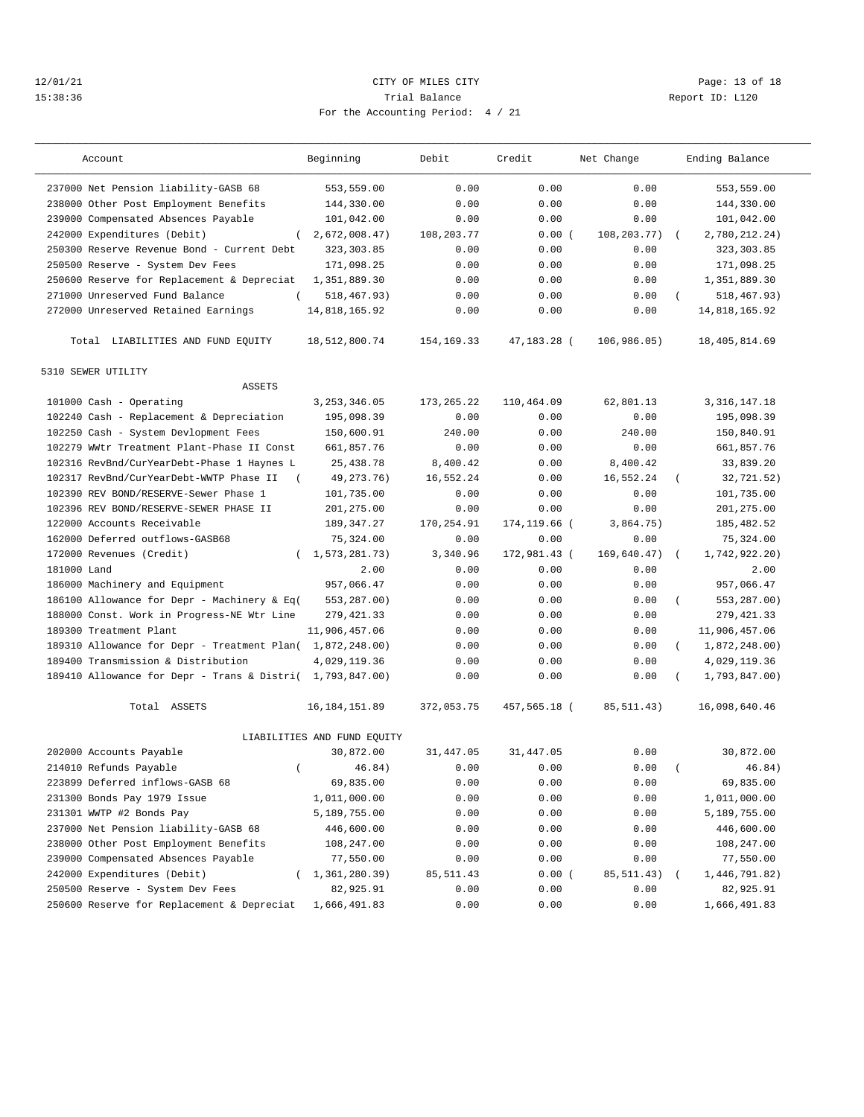## 12/01/21 **CITY OF MILES CITY CITY CITY Page: 13 of 18** 15:38:36 Trial Balance Report ID: L120 For the Accounting Period: 4 / 21

| Account                                                   | Beginning                   | Debit        | Credit       | Net Change  |            | Ending Balance  |
|-----------------------------------------------------------|-----------------------------|--------------|--------------|-------------|------------|-----------------|
| 237000 Net Pension liability-GASB 68                      | 553,559.00                  | 0.00         | 0.00         | 0.00        |            | 553,559.00      |
| 238000 Other Post Employment Benefits                     | 144,330.00                  | 0.00         | 0.00         | 0.00        |            | 144,330.00      |
| 239000 Compensated Absences Payable                       | 101,042.00                  | 0.00         | 0.00         | 0.00        |            | 101,042.00      |
| 242000 Expenditures (Debit)<br>$\left($                   | 2,672,008.47)               | 108,203.77   | 0.00(        | 108,203.77) | $\sqrt{2}$ | 2,780,212.24)   |
| 250300 Reserve Revenue Bond - Current Debt                | 323, 303.85                 | 0.00         | 0.00         | 0.00        |            | 323, 303.85     |
| 250500 Reserve - System Dev Fees                          | 171,098.25                  | 0.00         | 0.00         | 0.00        |            | 171,098.25      |
| 250600 Reserve for Replacement & Depreciat                | 1,351,889.30                | 0.00         | 0.00         | 0.00        |            | 1,351,889.30    |
| 271000 Unreserved Fund Balance                            | 518, 467. 93)               | 0.00         | 0.00         | 0.00        |            | 518,467.93)     |
| 272000 Unreserved Retained Earnings                       | 14,818,165.92               | 0.00         | 0.00         | 0.00        |            | 14,818,165.92   |
| Total LIABILITIES AND FUND EQUITY                         | 18,512,800.74               | 154,169.33   | 47,183.28 (  | 106,986.05) |            | 18,405,814.69   |
| 5310 SEWER UTILITY                                        |                             |              |              |             |            |                 |
| <b>ASSETS</b>                                             |                             |              |              |             |            |                 |
| 101000 Cash - Operating                                   | 3, 253, 346.05              | 173, 265. 22 | 110,464.09   | 62,801.13   |            | 3, 316, 147. 18 |
| 102240 Cash - Replacement & Depreciation                  | 195,098.39                  | 0.00         | 0.00         | 0.00        |            | 195,098.39      |
| 102250 Cash - System Devlopment Fees                      | 150,600.91                  | 240.00       | 0.00         | 240.00      |            | 150,840.91      |
| 102279 WWtr Treatment Plant-Phase II Const                | 661,857.76                  | 0.00         | 0.00         | 0.00        |            | 661,857.76      |
| 102316 RevBnd/CurYearDebt-Phase 1 Haynes L                | 25, 438.78                  | 8,400.42     | 0.00         | 8,400.42    |            | 33,839.20       |
| 102317 RevBnd/CurYearDebt-WWTP Phase II                   | 49, 273. 76)                | 16,552.24    | 0.00         | 16,552.24   | $\left($   | 32,721.52)      |
| 102390 REV BOND/RESERVE-Sewer Phase 1                     | 101,735.00                  | 0.00         | 0.00         | 0.00        |            | 101,735.00      |
| 102396 REV BOND/RESERVE-SEWER PHASE II                    | 201,275.00                  | 0.00         | 0.00         | 0.00        |            | 201,275.00      |
| 122000 Accounts Receivable                                | 189, 347.27                 | 170,254.91   | 174,119.66 ( | 3,864.75)   |            | 185, 482.52     |
| 162000 Deferred outflows-GASB68                           | 75,324.00                   | 0.00         | 0.00         | 0.00        |            | 75,324.00       |
| 172000 Revenues (Credit)                                  | 1,573,281.73)               | 3,340.96     | 172,981.43 ( | 169,640.47) | $\left($   | 1,742,922.20)   |
| 181000 Land                                               | 2.00                        | 0.00         | 0.00         | 0.00        |            | 2.00            |
| 186000 Machinery and Equipment                            | 957,066.47                  | 0.00         | 0.00         | 0.00        |            | 957,066.47      |
| 186100 Allowance for Depr - Machinery & Eq(               | 553,287.00)                 | 0.00         | 0.00         | 0.00        |            | 553,287.00)     |
| 188000 Const. Work in Progress-NE Wtr Line                | 279, 421.33                 | 0.00         | 0.00         | 0.00        |            | 279, 421.33     |
| 189300 Treatment Plant                                    | 11,906,457.06               | 0.00         | 0.00         | 0.00        |            | 11,906,457.06   |
| 189310 Allowance for Depr - Treatment Plan( 1,872,248.00) |                             | 0.00         | 0.00         | 0.00        | $\left($   | 1,872,248.00)   |
| 189400 Transmission & Distribution                        | 4,029,119.36                | 0.00         | 0.00         | 0.00        |            | 4,029,119.36    |
| 189410 Allowance for Depr - Trans & Distri( 1,793,847.00) |                             | 0.00         | 0.00         | 0.00        |            | 1,793,847.00)   |
| Total ASSETS                                              | 16, 184, 151.89             | 372,053.75   | 457,565.18 ( | 85, 511.43) |            | 16,098,640.46   |
|                                                           | LIABILITIES AND FUND EQUITY |              |              |             |            |                 |
| 202000 Accounts Payable                                   | 30,872.00                   | 31,447.05    | 31, 447.05   | 0.00        |            | 30,872.00       |
| 214010 Refunds Payable<br>$\left($                        | 46.84)                      | 0.00         | 0.00         | 0.00        |            | 46.84)          |
| 223899 Deferred inflows-GASB 68                           | 69,835.00                   | 0.00         | 0.00         | 0.00        |            | 69,835.00       |
| 231300 Bonds Pay 1979 Issue                               | 1,011,000.00                | 0.00         | 0.00         | 0.00        |            | 1,011,000.00    |
| 231301 WWTP #2 Bonds Pay                                  | 5,189,755.00                | 0.00         | 0.00         | 0.00        |            | 5,189,755.00    |
| 237000 Net Pension liability-GASB 68                      | 446,600.00                  | 0.00         | 0.00         | 0.00        |            | 446,600.00      |
| 238000 Other Post Employment Benefits                     | 108,247.00                  | 0.00         | 0.00         | 0.00        |            | 108,247.00      |
| 239000 Compensated Absences Payable                       | 77,550.00                   | 0.00         | 0.00         | 0.00        |            | 77,550.00       |
| 242000 Expenditures (Debit)                               | 1,361,280.39)               | 85, 511.43   | 0.00(        | 85,511.43)  |            | 1,446,791.82)   |
| 250500 Reserve - System Dev Fees                          | 82,925.91                   | 0.00         | 0.00         | 0.00        |            | 82,925.91       |
| 250600 Reserve for Replacement & Depreciat                | 1,666,491.83                | 0.00         | 0.00         | 0.00        |            | 1,666,491.83    |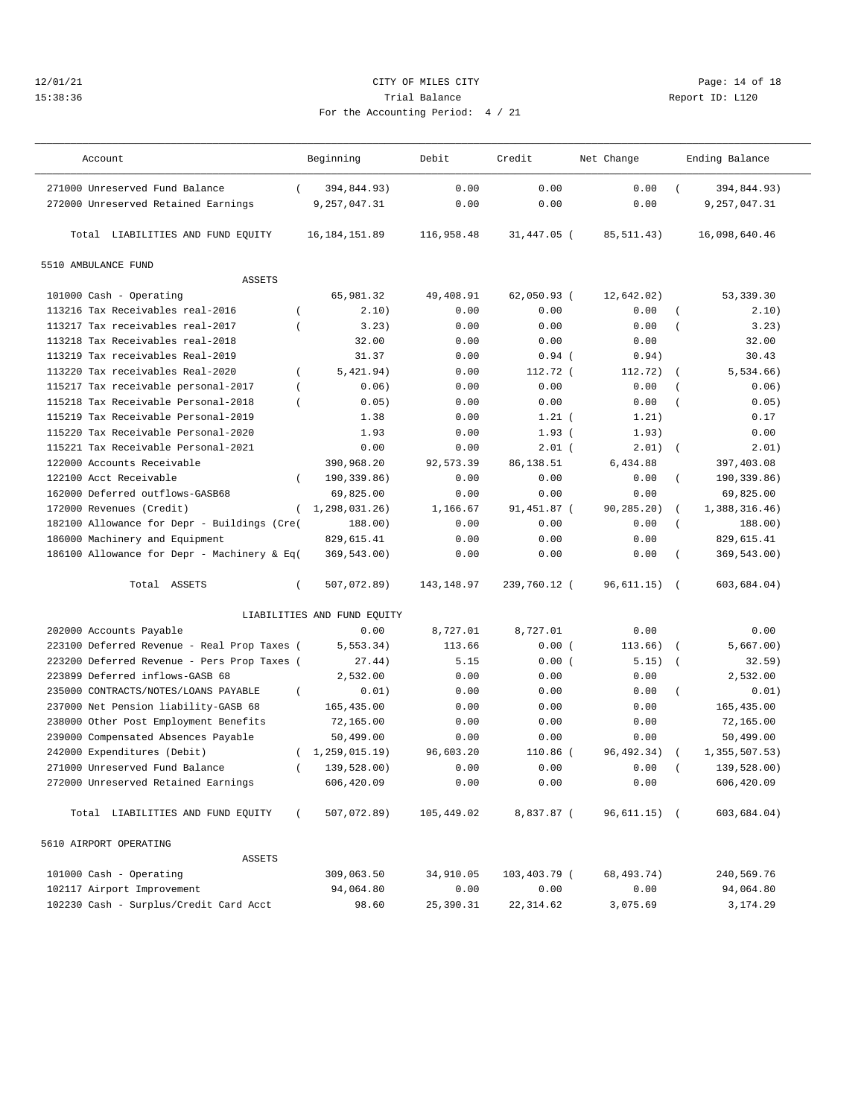## 12/01/21 Page: 14 of 18 15:38:36 Trial Balance Report ID: L120 For the Accounting Period: 4 / 21

| Account                                               | Beginning                   | Debit       | Credit       | Net Change   |                | Ending Balance |
|-------------------------------------------------------|-----------------------------|-------------|--------------|--------------|----------------|----------------|
| 271000 Unreserved Fund Balance<br>$\left($            | 394,844.93)                 | 0.00        | 0.00         | 0.00         |                | 394,844.93)    |
| 272000 Unreserved Retained Earnings                   | 9,257,047.31                | 0.00        | 0.00         | 0.00         |                | 9,257,047.31   |
| Total LIABILITIES AND FUND EQUITY                     | 16, 184, 151.89             | 116,958.48  | 31,447.05 (  | 85, 511.43)  |                | 16,098,640.46  |
| 5510 AMBULANCE FUND                                   |                             |             |              |              |                |                |
| <b>ASSETS</b>                                         |                             |             |              |              |                |                |
| 101000 Cash - Operating                               | 65,981.32                   | 49,408.91   | 62,050.93 (  | 12,642.02)   |                | 53,339.30      |
| 113216 Tax Receivables real-2016                      | 2.10)                       | 0.00        | 0.00         | 0.00         |                | 2.10)          |
| 113217 Tax receivables real-2017<br>$\overline{ }$    | 3.23)                       | 0.00        | 0.00         | 0.00         |                | 3.23)          |
| 113218 Tax Receivables real-2018                      | 32.00                       | 0.00        | 0.00         | 0.00         |                | 32.00          |
| 113219 Tax receivables Real-2019                      | 31.37                       | 0.00        | $0.94$ (     | 0.94)        |                | 30.43          |
| 113220 Tax receivables Real-2020<br>$\left($          | 5,421.94)                   | 0.00        | 112.72 (     | 112.72)      |                | 5, 534.66)     |
| 115217 Tax receivable personal-2017<br>$\overline{ }$ | 0.06)                       | 0.00        | 0.00         | 0.00         |                | 0.06)          |
| 115218 Tax Receivable Personal-2018<br>$\overline{ }$ | 0.05)                       | 0.00        | 0.00         | 0.00         |                | 0.05)          |
| 115219 Tax Receivable Personal-2019                   | 1.38                        | 0.00        | $1.21$ (     | 1.21)        |                | 0.17           |
| 115220 Tax Receivable Personal-2020                   | 1.93                        | 0.00        | 1.93(        | 1.93)        |                | 0.00           |
| 115221 Tax Receivable Personal-2021                   | 0.00                        | 0.00        | $2.01$ (     | 2.01)        | $\overline{ }$ | 2.01)          |
| 122000 Accounts Receivable                            | 390,968.20                  | 92,573.39   | 86, 138.51   | 6,434.88     |                | 397,403.08     |
| 122100 Acct Receivable<br>$\left($                    | 190,339.86)                 | 0.00        | 0.00         | 0.00         | $\left($       | 190,339.86)    |
| 162000 Deferred outflows-GASB68                       | 69,825.00                   | 0.00        | 0.00         | 0.00         |                | 69,825.00      |
| 172000 Revenues (Credit)<br>$\left($                  | 1,298,031.26)               | 1,166.67    | 91,451.87 (  | 90,285.20)   |                | 1,388,316.46)  |
| 182100 Allowance for Depr - Buildings (Cre(           | 188.00)                     | 0.00        | 0.00         | 0.00         | $\left($       | 188.00)        |
| 186000 Machinery and Equipment                        | 829,615.41                  | 0.00        | 0.00         | 0.00         |                | 829,615.41     |
| 186100 Allowance for Depr - Machinery & Eq(           | 369,543.00)                 | 0.00        | 0.00         | 0.00         |                | 369,543.00)    |
| Total ASSETS<br>$\left($                              | 507,072.89)                 | 143, 148.97 | 239,760.12 ( | 96,611.15)   | $\sqrt{2}$     | 603,684.04)    |
|                                                       | LIABILITIES AND FUND EQUITY |             |              |              |                |                |
| 202000 Accounts Payable                               | 0.00                        | 8,727.01    | 8,727.01     | 0.00         |                | 0.00           |
| 223100 Deferred Revenue - Real Prop Taxes (           | 5, 553.34)                  | 113.66      | 0.00(        | 113.66)      | $\overline{ }$ | 5,667.00)      |
| 223200 Deferred Revenue - Pers Prop Taxes (           | 27.44)                      | 5.15        | 0.00(        | 5.15)        | $\overline{ }$ | 32.59)         |
| 223899 Deferred inflows-GASB 68                       | 2,532.00                    | 0.00        | 0.00         | 0.00         |                | 2,532.00       |
| 235000 CONTRACTS/NOTES/LOANS PAYABLE<br>$\left($      | 0.01)                       | 0.00        | 0.00         | 0.00         | $\left($       | 0.01)          |
| 237000 Net Pension liability-GASB 68                  | 165,435.00                  | 0.00        | 0.00         | 0.00         |                | 165,435.00     |
| 238000 Other Post Employment Benefits                 | 72,165.00                   | 0.00        | 0.00         | 0.00         |                | 72,165.00      |
| 239000 Compensated Absences Payable                   | 50,499.00                   | 0.00        | 0.00         | 0.00         |                | 50,499.00      |
| 242000 Expenditures (Debit)<br>$\left($               | 1,259,015.19)               | 96,603.20   | 110.86 (     | 96, 492. 34) |                | 1,355,507.53)  |
| 271000 Unreserved Fund Balance<br>$\overline{ }$      | 139,528.00)                 | 0.00        | 0.00         | 0.00         |                | 139,528.00)    |
| 272000 Unreserved Retained Earnings                   | 606,420.09                  | 0.00        | 0.00         | 0.00         |                | 606,420.09     |
| Total LIABILITIES AND FUND EQUITY<br>$\left($         | 507,072.89)                 | 105,449.02  | 8,837.87 (   | 96,611.15) ( |                | 603,684.04)    |
| 5610 AIRPORT OPERATING                                |                             |             |              |              |                |                |
| ASSETS                                                |                             |             |              |              |                |                |
| 101000 Cash - Operating                               | 309,063.50                  | 34,910.05   | 103,403.79 ( | 68,493.74)   |                | 240,569.76     |
| 102117 Airport Improvement                            | 94,064.80                   | 0.00        | 0.00         | 0.00         |                | 94,064.80      |
| 102230 Cash - Surplus/Credit Card Acct                | 98.60                       | 25,390.31   | 22, 314.62   | 3,075.69     |                | 3,174.29       |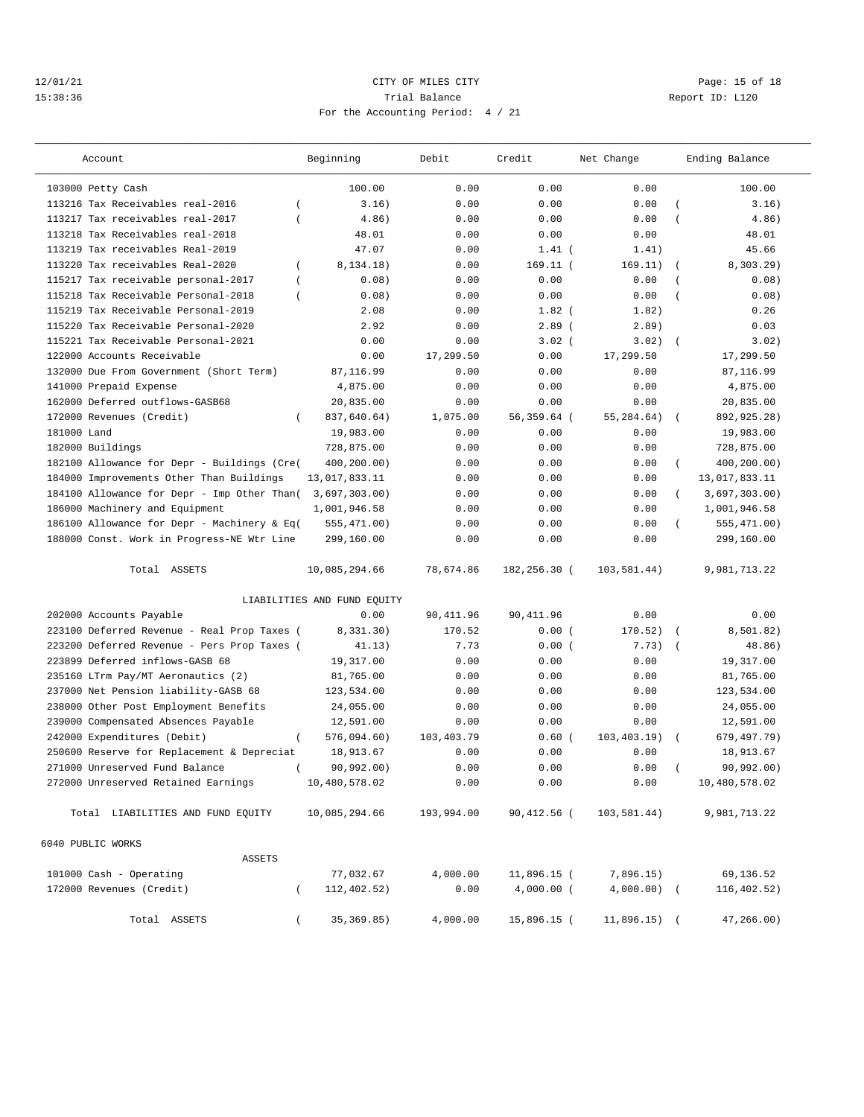## 12/01/21 Page: 15 of 18 15:38:36 Trial Balance Report ID: L120 For the Accounting Period: 4 / 21

| Account                                               | Beginning                   | Debit      | Credit       | Net Change     |                  | Ending Balance |  |  |
|-------------------------------------------------------|-----------------------------|------------|--------------|----------------|------------------|----------------|--|--|
| 103000 Petty Cash                                     | 100.00                      | 0.00       | 0.00         | 0.00           |                  | 100.00         |  |  |
| 113216 Tax Receivables real-2016<br>$\overline{ }$    | 3.16)                       | 0.00       | 0.00         | 0.00           | $\overline{ }$   | 3.16)          |  |  |
| 113217 Tax receivables real-2017                      | 4.86)                       | 0.00       | 0.00         | 0.00           | $\overline{(\ }$ | 4.86)          |  |  |
| 113218 Tax Receivables real-2018                      | 48.01                       | 0.00       | 0.00         | 0.00           |                  | 48.01          |  |  |
| 113219 Tax receivables Real-2019                      | 47.07                       | 0.00       | $1.41$ (     | 1.41)          |                  | 45.66          |  |  |
| 113220 Tax receivables Real-2020<br>$\overline{(\ }$  | 8,134.18)                   | 0.00       | $169.11$ (   | 169.11)        | $\overline{ }$   | $8,303.29$ )   |  |  |
| 115217 Tax receivable personal-2017<br>$\overline{ }$ | 0.08)                       | 0.00       | 0.00         | 0.00           |                  | 0.08)          |  |  |
| 115218 Tax Receivable Personal-2018<br>$\overline{ }$ | 0.08)                       | 0.00       | 0.00         | 0.00           |                  | 0.08)          |  |  |
| 115219 Tax Receivable Personal-2019                   | 2.08                        | 0.00       | $1.82$ (     | 1.82)          |                  | 0.26           |  |  |
| 115220 Tax Receivable Personal-2020                   | 2.92                        | 0.00       | $2.89$ (     | 2.89)          |                  | 0.03           |  |  |
| 115221 Tax Receivable Personal-2021                   | 0.00                        | 0.00       | $3.02$ (     | 3.02)          | $\overline{ }$   | 3.02)          |  |  |
| 122000 Accounts Receivable                            | 0.00                        | 17,299.50  | 0.00         | 17,299.50      |                  | 17,299.50      |  |  |
| 132000 Due From Government (Short Term)               | 87,116.99                   | 0.00       | 0.00         | 0.00           |                  | 87,116.99      |  |  |
| 141000 Prepaid Expense                                | 4,875.00                    | 0.00       | 0.00         | 0.00           |                  | 4,875.00       |  |  |
| 162000 Deferred outflows-GASB68                       | 20,835.00                   | 0.00       | 0.00         | 0.00           |                  | 20,835.00      |  |  |
| 172000 Revenues (Credit)<br>$\left($                  | 837,640.64)                 | 1,075.00   | 56,359.64 (  | 55,284.64)     | $\left($         | 892,925.28)    |  |  |
| 181000 Land                                           | 19,983.00                   | 0.00       | 0.00         | 0.00           |                  | 19,983.00      |  |  |
| 182000 Buildings                                      | 728,875.00                  | 0.00       | 0.00         | 0.00           |                  | 728,875.00     |  |  |
| 182100 Allowance for Depr - Buildings (Cre(           | 400,200.00)                 | 0.00       | 0.00         | 0.00           | $\left($         | 400,200.00)    |  |  |
| 184000 Improvements Other Than Buildings              | 13,017,833.11               | 0.00       | 0.00         | 0.00           |                  | 13,017,833.11  |  |  |
| 184100 Allowance for Depr - Imp Other Than(           | 3,697,303.00)               | 0.00       | 0.00         | 0.00           | $\left($         | 3,697,303.00   |  |  |
| 186000 Machinery and Equipment                        | 1,001,946.58                | 0.00       | 0.00         | 0.00           |                  | 1,001,946.58   |  |  |
| 186100 Allowance for Depr - Machinery & Eq(           | 555,471.00)                 | 0.00       | 0.00         | 0.00           |                  | 555,471.00)    |  |  |
| 188000 Const. Work in Progress-NE Wtr Line            | 299,160.00                  | 0.00       | 0.00         | 0.00           |                  | 299,160.00     |  |  |
|                                                       |                             |            |              |                |                  |                |  |  |
| Total ASSETS                                          | 10,085,294.66               | 78,674.86  | 182,256.30 ( | 103,581.44)    |                  | 9,981,713.22   |  |  |
|                                                       | LIABILITIES AND FUND EQUITY |            |              |                |                  |                |  |  |
| 202000 Accounts Payable                               | 0.00                        | 90,411.96  | 90, 411.96   | 0.00           |                  | 0.00           |  |  |
| 223100 Deferred Revenue - Real Prop Taxes (           | 8,331.30)                   | 170.52     | 0.00(        | 170.52)        |                  | 8,501.82)      |  |  |
| 223200 Deferred Revenue - Pers Prop Taxes (           | 41.13)                      | 7.73       | 0.00(        | 7.73)          | $\overline{ }$   | 48.86)         |  |  |
| 223899 Deferred inflows-GASB 68                       | 19,317.00                   | 0.00       | 0.00         | 0.00           |                  | 19,317.00      |  |  |
| 235160 LTrm Pay/MT Aeronautics (2)                    | 81,765.00                   | 0.00       | 0.00         | 0.00           |                  | 81,765.00      |  |  |
| 237000 Net Pension liability-GASB 68                  | 123,534.00                  | 0.00       | 0.00         | 0.00           |                  | 123,534.00     |  |  |
| 238000 Other Post Employment Benefits                 | 24,055.00                   | 0.00       | 0.00         | 0.00           |                  | 24,055.00      |  |  |
| 239000 Compensated Absences Payable                   | 12,591.00                   | 0.00       | 0.00         | 0.00           |                  | 12,591.00      |  |  |
| 242000 Expenditures (Debit)<br>$\left($               | 576,094.60)                 | 103,403.79 | $0.60$ (     | 103, 403.19)   |                  | 679,497.79)    |  |  |
| 250600 Reserve for Replacement & Depreciat            | 18,913.67                   | 0.00       | 0.00         | 0.00           |                  | 18,913.67      |  |  |
| 271000 Unreserved Fund Balance                        | 90,992.00)                  | 0.00       | 0.00         | 0.00           |                  | 90,992.00)     |  |  |
| 272000 Unreserved Retained Earnings                   | 10,480,578.02               | 0.00       | 0.00         | 0.00           |                  | 10,480,578.02  |  |  |
| Total LIABILITIES AND FUND EQUITY                     | 10,085,294.66               | 193,994.00 | 90,412.56 (  | 103,581.44)    |                  | 9,981,713.22   |  |  |
| 6040 PUBLIC WORKS                                     |                             |            |              |                |                  |                |  |  |
| ASSETS                                                |                             |            |              |                |                  |                |  |  |
| 101000 Cash - Operating                               | 77,032.67                   | 4,000.00   | 11,896.15 (  | 7,896.15)      |                  | 69,136.52      |  |  |
| 172000 Revenues (Credit)                              | 112,402.52)                 | 0.00       | $4,000.00$ ( | $4,000.00)$ (  |                  | 116,402.52)    |  |  |
| Total ASSETS                                          | 35, 369.85)                 | 4,000.00   | 15,896.15 (  | $11,896.15)$ ( |                  | 47,266.00)     |  |  |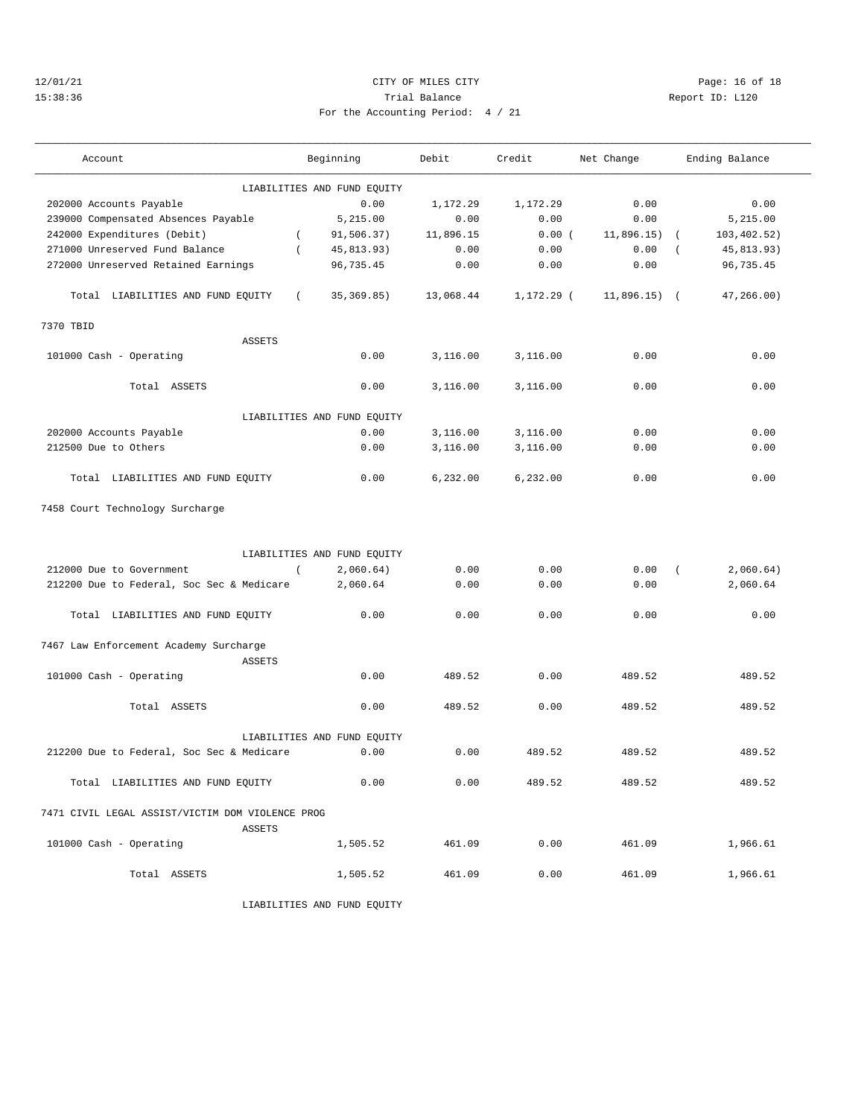# 12/01/21 Page: 16 of 18 15:38:36 Trial Balance Report ID: L120 For the Accounting Period: 4 / 21

——————————————————————————————————————————————————————————————————————————————————————————————————————————————————————————————————— Account Beginning Debit Credit Net Change Ending Balance ———————————————————————————————————————————————————————————————————————————————————————————————————————————————————————————————————

|                                                  |                  | LIABILITIES AND FUND EQUITY |           |            |                          |              |
|--------------------------------------------------|------------------|-----------------------------|-----------|------------|--------------------------|--------------|
| 202000 Accounts Payable                          |                  | 0.00                        | 1,172.29  | 1,172.29   | 0.00                     | 0.00         |
| 239000 Compensated Absences Payable              |                  | 5,215.00                    | 0.00      | 0.00       | 0.00                     | 5,215.00     |
| 242000 Expenditures (Debit)                      | $\overline{ }$   | 91,506.37)                  | 11,896.15 | 0.00(      | 11,896.15)<br>$\sqrt{ }$ | 103, 402.52) |
| 271000 Unreserved Fund Balance                   | $\overline{(\ }$ | 45,813.93)                  | 0.00      | 0.00       | 0.00                     | 45,813.93)   |
| 272000 Unreserved Retained Earnings              |                  | 96,735.45                   | 0.00      | 0.00       | 0.00                     | 96,735.45    |
|                                                  |                  |                             |           |            |                          |              |
| Total LIABILITIES AND FUND EQUITY                | $\left($         | 35, 369.85)                 | 13,068.44 | 1,172.29 ( | $11,896.15$ (            | 47, 266.00)  |
| 7370 TBID                                        |                  |                             |           |            |                          |              |
| ASSETS                                           |                  |                             |           |            |                          |              |
| 101000 Cash - Operating                          |                  | 0.00                        | 3,116.00  | 3,116.00   | 0.00                     | 0.00         |
| Total ASSETS                                     |                  | 0.00                        | 3,116.00  | 3,116.00   | 0.00                     | 0.00         |
|                                                  |                  | LIABILITIES AND FUND EQUITY |           |            |                          |              |
| 202000 Accounts Payable                          |                  | 0.00                        | 3,116.00  | 3,116.00   | 0.00                     | 0.00         |
| 212500 Due to Others                             |                  | 0.00                        | 3,116.00  | 3,116.00   | 0.00                     | 0.00         |
|                                                  |                  |                             |           |            |                          |              |
| Total LIABILITIES AND FUND EQUITY                |                  | 0.00                        | 6.232.00  | 6.232.00   | 0.00                     | 0.00         |
| 7458 Court Technology Surcharge                  |                  |                             |           |            |                          |              |
|                                                  |                  |                             |           |            |                          |              |
|                                                  |                  |                             |           |            |                          |              |
|                                                  |                  | LIABILITIES AND FUND EQUITY |           |            |                          |              |
| 212000 Due to Government                         | $\left($         | 2,060.64)                   | 0.00      | 0.00       | 0.00<br>$\left($         | 2,060.64)    |
| 212200 Due to Federal, Soc Sec & Medicare        |                  | 2,060.64                    | 0.00      | 0.00       | 0.00                     | 2,060.64     |
|                                                  |                  |                             |           |            |                          |              |
| Total LIABILITIES AND FUND EQUITY                |                  | 0.00                        | 0.00      | 0.00       | 0.00                     | 0.00         |
| 7467 Law Enforcement Academy Surcharge           |                  |                             |           |            |                          |              |
| <b>ASSETS</b>                                    |                  |                             |           |            |                          |              |
| 101000 Cash - Operating                          |                  | 0.00                        | 489.52    | 0.00       | 489.52                   | 489.52       |
|                                                  |                  |                             |           |            |                          |              |
| Total ASSETS                                     |                  | 0.00                        | 489.52    | 0.00       | 489.52                   | 489.52       |
|                                                  |                  |                             |           |            |                          |              |
|                                                  |                  | LIABILITIES AND FUND EQUITY |           |            |                          |              |
| 212200 Due to Federal, Soc Sec & Medicare        |                  | 0.00                        | 0.00      | 489.52     | 489.52                   | 489.52       |
| Total LIABILITIES AND FUND EQUITY                |                  | 0.00                        | 0.00      | 489.52     | 489.52                   | 489.52       |
| 7471 CIVIL LEGAL ASSIST/VICTIM DOM VIOLENCE PROG |                  |                             |           |            |                          |              |
| <b>ASSETS</b>                                    |                  |                             |           |            |                          |              |
| 101000 Cash - Operating                          |                  | 1,505.52                    | 461.09    | 0.00       | 461.09                   | 1,966.61     |
|                                                  |                  |                             |           |            |                          |              |
| Total ASSETS                                     |                  | 1,505.52                    | 461.09    | 0.00       | 461.09                   | 1,966.61     |

LIABILITIES AND FUND EQUITY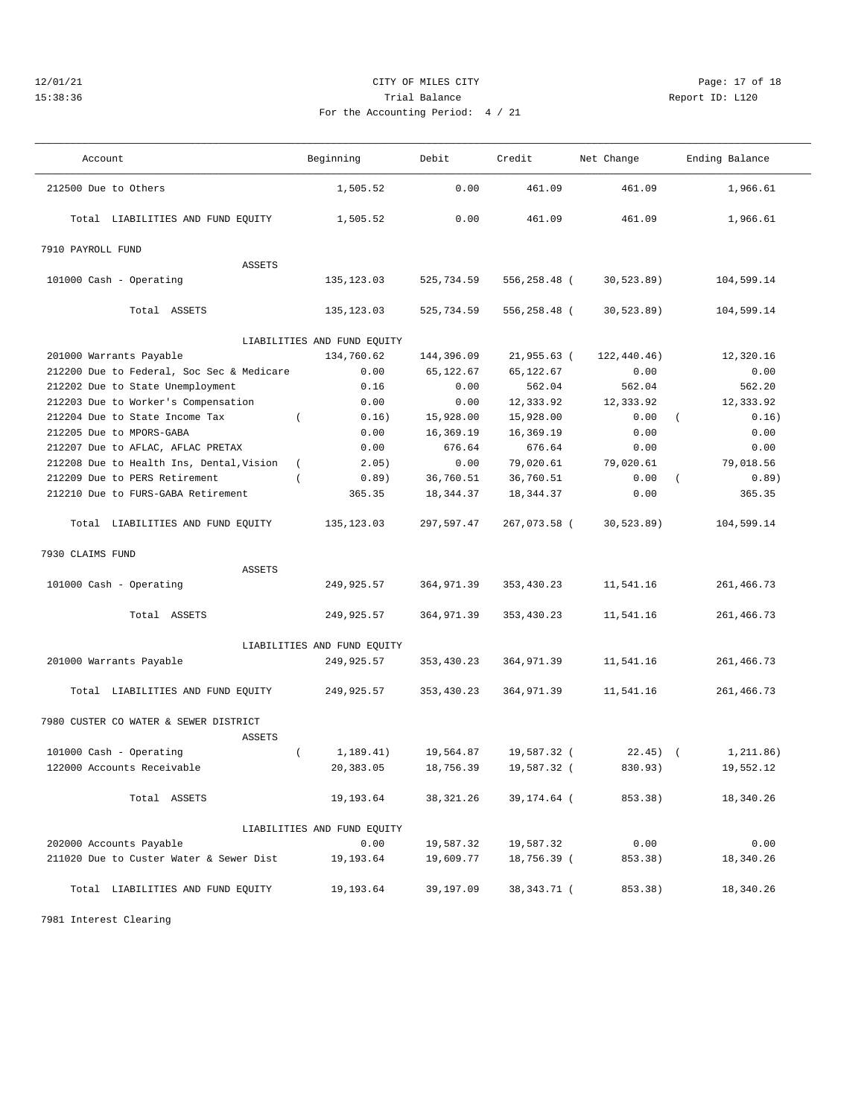# 12/01/21 Page: 17 of 18 15:38:36 Trial Balance Report ID: L120 For the Accounting Period: 4 / 21

———————————————————————————————————————————————————————————————————————————————————————————————————————————————————————————————————

| Account                                   | Beginning                   | Debit      | Credit        | Net Change   | Ending Balance    |  |  |  |  |
|-------------------------------------------|-----------------------------|------------|---------------|--------------|-------------------|--|--|--|--|
| 212500 Due to Others                      | 1,505.52                    | 0.00       | 461.09        | 461.09       | 1,966.61          |  |  |  |  |
| Total LIABILITIES AND FUND EQUITY         | 1,505.52                    | 0.00       | 461.09        | 461.09       | 1,966.61          |  |  |  |  |
| 7910 PAYROLL FUND                         |                             |            |               |              |                   |  |  |  |  |
| ASSETS                                    |                             |            |               |              |                   |  |  |  |  |
| 101000 Cash - Operating                   | 135, 123.03                 | 525,734.59 | 556,258.48 (  | 30, 523.89)  | 104,599.14        |  |  |  |  |
| Total ASSETS                              | 135, 123.03                 | 525,734.59 | 556,258.48 (  | 30, 523.89)  | 104,599.14        |  |  |  |  |
| LIABILITIES AND FUND EQUITY               |                             |            |               |              |                   |  |  |  |  |
| 201000 Warrants Payable                   | 134,760.62                  | 144,396.09 | $21,955.63$ ( | 122, 440.46) | 12,320.16         |  |  |  |  |
| 212200 Due to Federal, Soc Sec & Medicare | 0.00                        | 65,122.67  | 65,122.67     | 0.00         | 0.00              |  |  |  |  |
| 212202 Due to State Unemployment          | 0.16                        | 0.00       | 562.04        | 562.04       | 562.20            |  |  |  |  |
| 212203 Due to Worker's Compensation       | 0.00                        | 0.00       | 12,333.92     | 12,333.92    | 12,333.92         |  |  |  |  |
| 212204 Due to State Income Tax            | $\left($<br>0.16)           | 15,928.00  | 15,928.00     | 0.00         | 0.16)<br>$\left($ |  |  |  |  |
| 212205 Due to MPORS-GABA                  | 0.00                        | 16,369.19  | 16,369.19     | 0.00         | 0.00              |  |  |  |  |
| 212207 Due to AFLAC, AFLAC PRETAX         | 0.00                        | 676.64     | 676.64        | 0.00         | 0.00              |  |  |  |  |
| 212208 Due to Health Ins, Dental, Vision  | 2.05)<br>$\left($           | 0.00       | 79,020.61     | 79,020.61    | 79,018.56         |  |  |  |  |
| 212209 Due to PERS Retirement             | 0.89)<br>$\left($           | 36,760.51  | 36,760.51     | 0.00         | 0.89)<br>$\left($ |  |  |  |  |
| 212210 Due to FURS-GABA Retirement        | 365.35                      | 18, 344.37 | 18, 344. 37   | 0.00         | 365.35            |  |  |  |  |
| Total LIABILITIES AND FUND EQUITY         | 135, 123.03                 | 297,597.47 | 267,073.58 (  | 30, 523.89   | 104,599.14        |  |  |  |  |
| 7930 CLAIMS FUND                          |                             |            |               |              |                   |  |  |  |  |
| ASSETS                                    |                             |            |               |              |                   |  |  |  |  |
| 101000 Cash - Operating                   | 249,925.57                  | 364,971.39 | 353, 430.23   | 11,541.16    | 261,466.73        |  |  |  |  |
| Total ASSETS                              | 249,925.57                  | 364,971.39 | 353, 430.23   | 11,541.16    | 261,466.73        |  |  |  |  |
| LIABILITIES AND FUND EQUITY               |                             |            |               |              |                   |  |  |  |  |
| 201000 Warrants Payable                   | 249,925.57                  | 353,430.23 | 364,971.39    | 11,541.16    | 261,466.73        |  |  |  |  |
| Total LIABILITIES AND FUND EQUITY         | 249,925.57                  | 353,430.23 | 364,971.39    | 11,541.16    | 261,466.73        |  |  |  |  |
| 7980 CUSTER CO WATER & SEWER DISTRICT     |                             |            |               |              |                   |  |  |  |  |
| <b>ASSETS</b>                             |                             |            |               |              |                   |  |  |  |  |
| 101000 Cash - Operating                   | 1,189.41)<br>$\left($       | 19,564.87  | 19,587.32 (   | $22.45$ ) (  | 1,211.86)         |  |  |  |  |
| 122000 Accounts Receivable                | 20,383.05                   | 18,756.39  | 19,587.32 (   | 830.93)      | 19,552.12         |  |  |  |  |
| Total ASSETS                              | 19,193.64                   | 38,321.26  | 39,174.64 (   | 853.38)      | 18,340.26         |  |  |  |  |
|                                           | LIABILITIES AND FUND EQUITY |            |               |              |                   |  |  |  |  |
| 202000 Accounts Payable                   | 0.00                        | 19,587.32  | 19,587.32     | 0.00         | 0.00              |  |  |  |  |
| 211020 Due to Custer Water & Sewer Dist   | 19,193.64                   | 19,609.77  | 18,756.39 (   | 853.38)      | 18,340.26         |  |  |  |  |
| Total LIABILITIES AND FUND EQUITY         | 19,193.64                   | 39,197.09  | 38, 343. 71 ( | 853.38)      | 18,340.26         |  |  |  |  |

7981 Interest Clearing